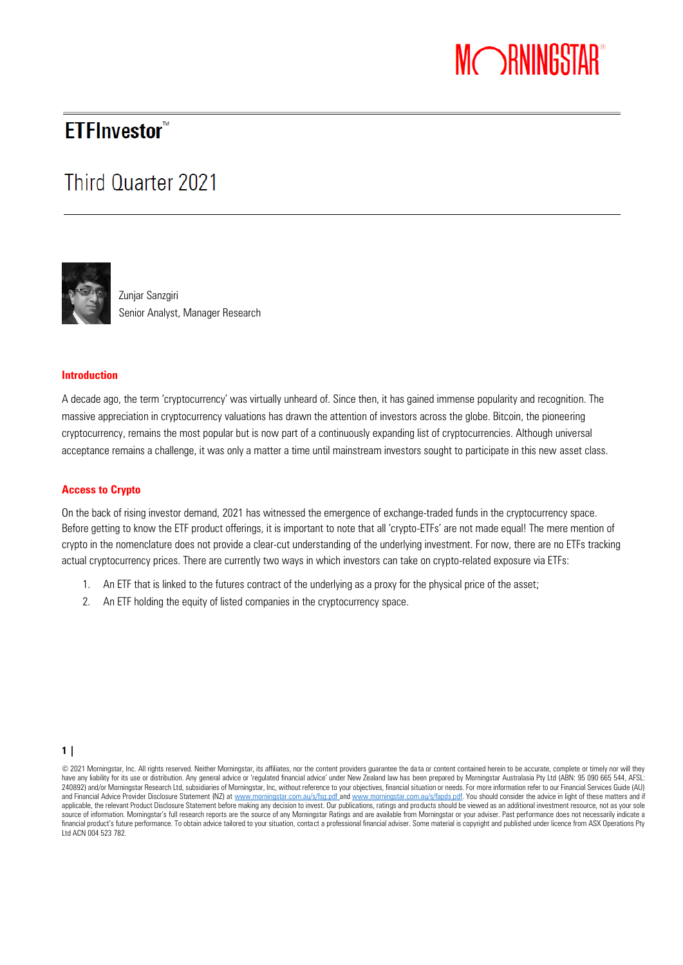# MORNINGSTAR®

## **ETFInvestor**<sup>™</sup>

# Third Quarter 2021



Zunjar Sanzgiri Senior Analyst, Manager Research

#### **Introduction**

A decade ago, the term 'cryptocurrency' was virtually unheard of. Since then, it has gained immense popularity and recognition. The massive appreciation in cryptocurrency valuations has drawn the attention of investors across the globe. Bitcoin, the pioneering cryptocurrency, remains the most popular but is now part of a continuously expanding list of cryptocurrencies. Although universal acceptance remains a challenge, it was only a matter a time until mainstream investors sought to participate in this new asset class.

#### **Access to Crypto**

On the back of rising investor demand, 2021 has witnessed the emergence of exchange-traded funds in the cryptocurrency space. Before getting to know the ETF *product offerings, it is important to note that all 'crypto-ETFs' are not made equal! The mere mention of crypto in the nomenclature does not provide a clear-cut understanding of the underlying investment. For now, there are no ETFs tracking actual cryptocurrency prices. There are currently two ways in which investors can take on crypto-related exposure via ETFs:*

- *1. An ETF that is linked to the futures contract of the underlying as a proxy for the physical price of the asset;*
- *2. An ETF holding the equity of listed companies in the cryptocurrency space.*

 $1 |$ 

<sup>© 2021</sup> Morningstar, Inc. All rights reserved. Neither Morningstar, its affiliates, nor the content providers guarantee the da ta or content contained herein to be accurate, complete or timely nor will they have any liability for its use or distribution. Any general advice or 'regulated financial advice' under New Zealand law has been prepared by Morningstar Australasia Pty Ltd (ABN: 95 090 665 544, AFSL 240892) and/or Morningstar Research Ltd, subsidiaries of Morningstar, Inc, without reference to your objectives, financial situation or needs. For more information refer to our Financial Services Guide (AU) and Financial Advice Provider Disclosure Statement (NZ) a[t www.morningstar.com.au/s/fsg.pdf](file:///C:/Users/kallen/AppData/Local/Microsoft/Windows/INetCache/Content.Outlook/4DL501RP/www.morningstar.com.au/s/fsg.pdf) an[d www.morningstar.com.au/s/fapds.pdf.](file:///C:/Users/kallen/AppData/Local/Microsoft/Windows/INetCache/Content.Outlook/4DL501RP/www.morningstar.com.au/s/fapds.pdf) You should consider the advice in light of these matters and if applicable, the relevant Product Disclosure Statement before making any decision to invest. Our publications, ratings and products should be viewed as an additional investment resource, not as your sole source of information. Morningstar's full research reports are the source of any Morningstar Ratings and are available from Morningstar or your adviser. Past performance does not necessarily indicate a financial product's future performance. To obtain advice tailored to your situation, contact a professional financial adviser. Some material is copyright and published under licence from ASX Operations Pty Ltd ACN 004 523 782.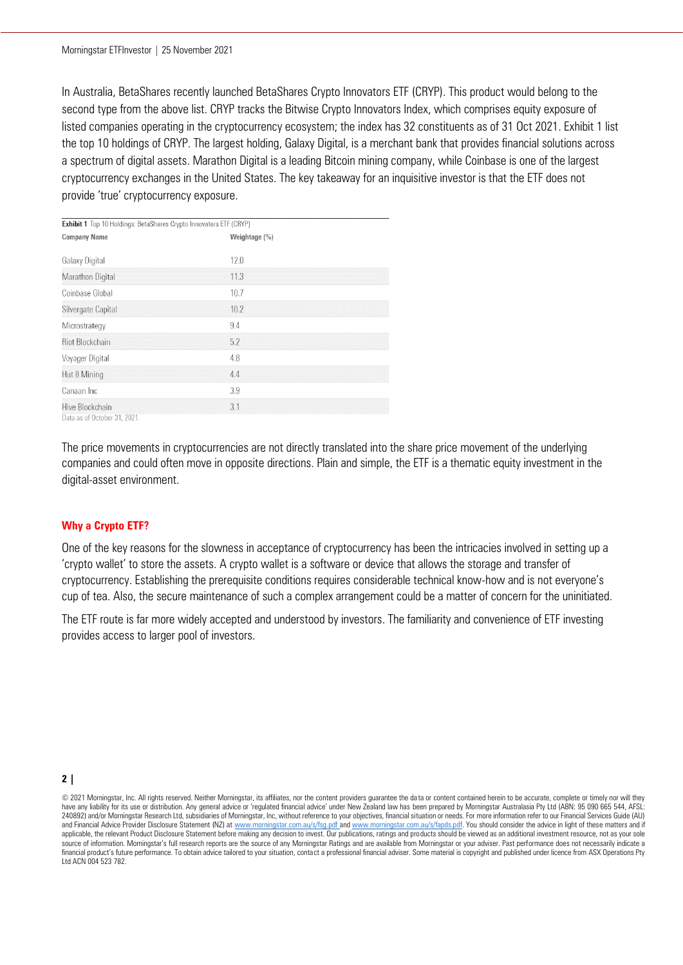In Australia, BetaShares recently launched BetaShares Crypto Innovators ETF (CRYP). This product would belong to the second type from the above list. CRYP tracks the Bitwise Crypto Innovators Index, which comprises equity exposure of listed companies operating in the cryptocurrency ecosystem; the index has 32 constituents as of 31 Oct 2021. Exhibit 1 list the top 10 holdings of CRYP. The largest holding, Galaxy Digital, is a merchant bank that provides financial solutions across a spectrum of digital assets. Marathon Digital is a leading Bitcoin mining company, while Coinbase is one of the largest cryptocurrency exchanges in the United States. The key takeaway for an inquisitive investor is that the ETF does not provide 'true' cryptocurrency exposure.

| <b>Exhibit 1</b> Top 10 Holdings: BetaShares Crypto Innovators ETF (CRYP) |               |  |
|---------------------------------------------------------------------------|---------------|--|
| <b>Company Name</b>                                                       | Weightage (%) |  |
| Galaxy Digital                                                            | 12.0          |  |
| Marathon Digital                                                          | 11.3          |  |
| Coinbase Global                                                           | 10.7          |  |
| Silvergate Capital                                                        | 10.2          |  |
| Microstrategy                                                             | 9.4           |  |
| <b>Riot Blockchain</b>                                                    | 5.2           |  |
| Voyager Digital                                                           | 4.8           |  |
| Hut 8 Mining                                                              | 4.4           |  |
| Canaan Inc                                                                | 3.9           |  |
| Hive Blockchain<br>Data as of October 31, 2021.                           | 3.1           |  |

The price movements in cryptocurrencies are not directly translated into the share price movement of the underlying companies and could often move in opposite directions. Plain and simple, the ETF is a thematic equity investment in the digital-asset environment.

#### **Why a Crypto ETF?**

One of the key reasons for the slowness in acceptance of cryptocurrency has been the intricacies involved in setting up a 'crypto wallet' to store the assets. A crypto wallet is a software or device that allows the storage and transfer of cryptocurrency. Establishing the prerequisite conditions requires considerable technical know-how and is not everyone's cup of tea. Also, the secure maintenance of such a complex arrangement could be a matter of concern for the uninitiated.

The ETF route is far more widely accepted and understood by investors. The familiarity and convenience of ETF investing provides access to larger pool of investors.

**2 |** 

© 2021 Morningstar, Inc. All rights reserved. Neither Morningstar, its affiliates, nor the content providers guarantee the da ta or content contained herein to be accurate, complete or timely nor will they have any liability for its use or distribution. Any general advice or 'regulated financial advice' under New Zealand law has been prepared by Morningstar Australasia Pty Ltd (ABN: 95 090 665 544, AFSL: 240892) and/or Morningstar Research Ltd, subsidiaries of Morningstar, Inc, without reference to your objectives, financial situation or needs. For more information refer to our Financial Services Guide (AU) and Financial Advice Provider Disclosure Statement (NZ) a[t www.morningstar.com.au/s/fsg.pdf](file:///C:/Users/kallen/AppData/Local/Microsoft/Windows/INetCache/Content.Outlook/4DL501RP/www.morningstar.com.au/s/fsg.pdf) an[d www.morningstar.com.au/s/fapds.pdf.](file:///C:/Users/kallen/AppData/Local/Microsoft/Windows/INetCache/Content.Outlook/4DL501RP/www.morningstar.com.au/s/fapds.pdf) You should consider the advice in light of these matters and if applicable, the relevant Product Disclosure Statement before making any decision to invest. Our publications, ratings and products should be viewed as an additional investment resource, not as your sole source of information. Morningstar's full research reports are the source of any Morningstar Ratings and are available from Morningstar or your adviser. Past performance does not necessarily indicate a financial product's future performance. To obtain advice tailored to your situation, contact a professional financial adviser. Some material is copyright and published under licence from ASX Operations Pty Ltd ACN 004 523 782.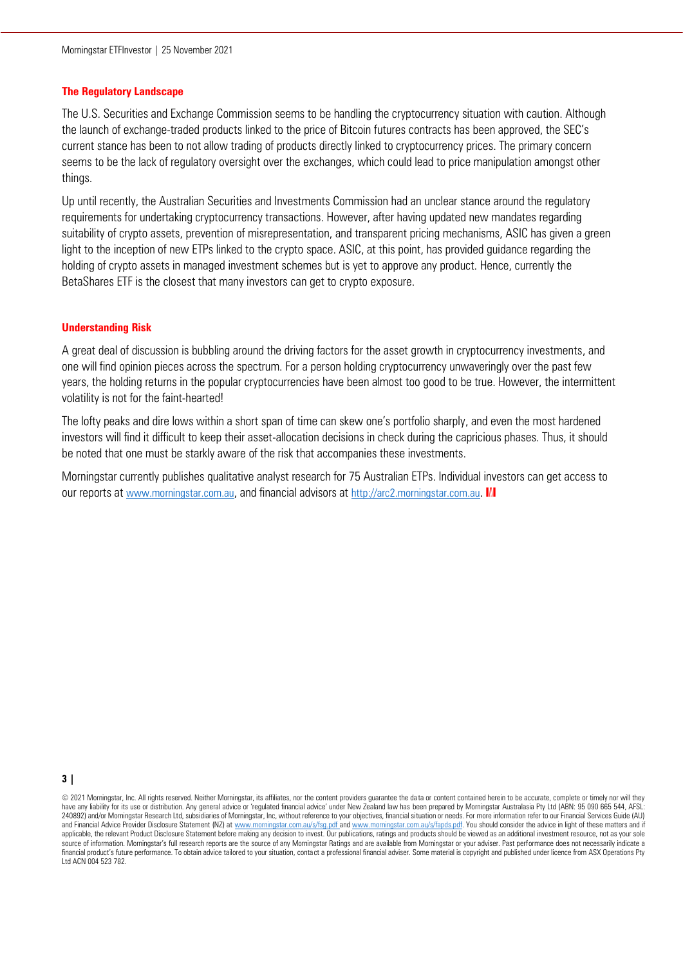#### **The Regulatory Landscape**

The U.S. Securities and Exchange Commission seems to be handling the cryptocurrency situation with caution. Although the launch of exchange-traded products linked to the price of Bitcoin futures contracts has been approved, the SEC's current stance has been to not allow trading of products directly linked to cryptocurrency prices. The primary concern seems to be the lack of regulatory oversight over the exchanges, which could lead to price manipulation amongst other things.

Up until recently, the Australian Securities and Investments Commission had an unclear stance around the regulatory requirements for undertaking cryptocurrency transactions. However, after having updated new mandates regarding suitability of crypto assets, prevention of misrepresentation, and transparent pricing mechanisms, ASIC has given a green light to the inception of new ETPs linked to the crypto space. ASIC, at this point, has provided guidance regarding the holding of crypto assets in managed investment schemes but is yet to approve any product. Hence, currently the BetaShares ETF is the closest that many investors can get to crypto exposure.

## **Understanding Risk**

A great deal of discussion is bubbling around the driving factors for the asset growth in cryptocurrency investments, and one will find opinion pieces across the spectrum. For a person holding cryptocurrency unwaveringly over the past few years, the holding returns in the popular cryptocurrencies have been almost too good to be true. However, the intermittent volatility is not for the faint-hearted!

The lofty peaks and dire lows within a short span of time can skew one's portfolio sharply, and even the most hardened investors will find it difficult to keep their asset-allocation decisions in check during the capricious phases. Thus, it should be noted that one must be starkly aware of the risk that accompanies these investments.

Morningstar currently publishes qualitative analyst research for 75 Australian ETPs. Individual investors can get access to our reports at [www.morningstar.com.au](http://www.morningstar.com.au/), and financial advisors at [http://arc2.morningstar.com.au](http://arc2.morningstar.com.au/). MI

**3 |** 

© 2021 Morningstar, Inc. All rights reserved. Neither Morningstar, its affiliates, nor the content providers guarantee the da ta or content contained herein to be accurate, complete or timely nor will they have any liability for its use or distribution. Any general advice or 'regulated financial advice' under New Zealand law has been prepared by Morningstar Australasia Pty Ltd (ABN: 95 090 665 544, AFSL: 240892) and/or Morningstar Research Ltd, subsidiaries of Morningstar, Inc, without reference to your objectives, financial situation or needs. For more information refer to our Financial Services Guide (AU) and Financial Advice Provider Disclosure Statement (NZ) a[t www.morningstar.com.au/s/fsg.pdf](file:///C:/Users/kallen/AppData/Local/Microsoft/Windows/INetCache/Content.Outlook/4DL501RP/www.morningstar.com.au/s/fsg.pdf) an[d www.morningstar.com.au/s/fapds.pdf.](file:///C:/Users/kallen/AppData/Local/Microsoft/Windows/INetCache/Content.Outlook/4DL501RP/www.morningstar.com.au/s/fapds.pdf) You should consider the advice in light of these matters and if applicable, the relevant Product Disclosure Statement before making any decision to invest. Our publications, ratings and products should be viewed as an additional investment resource, not as your sole source of information. Morningstar's full research reports are the source of any Morningstar Ratings and are available from Morningstar or your adviser. Past performance does not necessarily indicate a financial product's future performance. To obtain advice tailored to your situation, contact a professional financial adviser. Some material is copyright and published under licence from ASX Operations Pty Ltd ACN 004 523 782.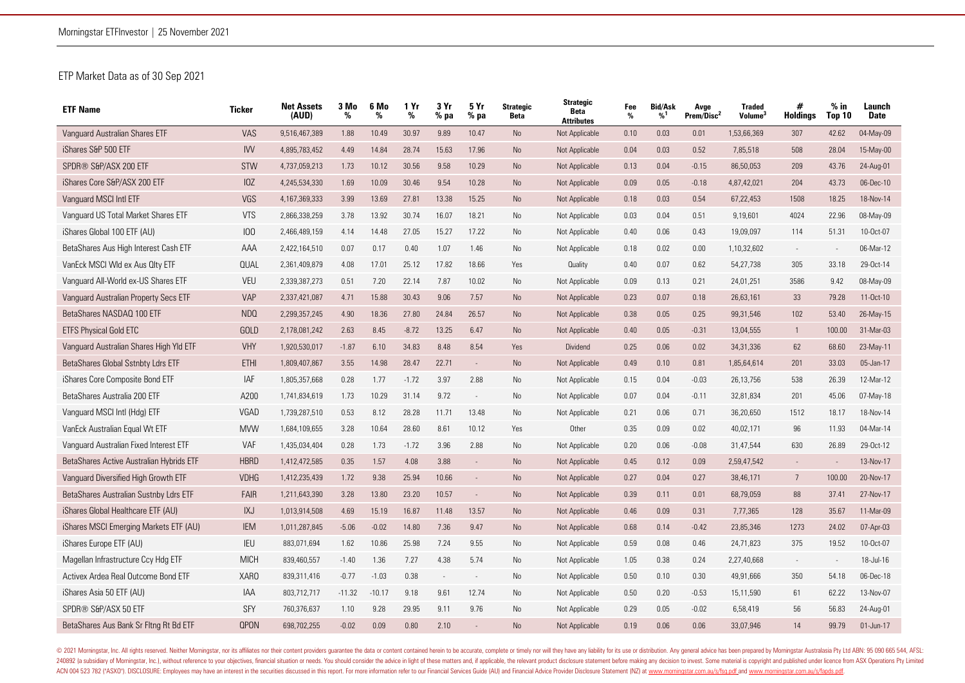## *ETP Market Data as of 30 Sep 2021*

| <b>ETF Name</b>                          | Ticker      | <b>Net Assets</b><br>(AUD) | 3 Mo<br>% | 6 Mo<br>% | 1 Yr<br>% | 3Yr<br>$%$ pa  | 5 Yr<br>$%$ pa | <b>Strategic</b><br><b>Beta</b> | <b>Strategic</b><br><b>Beta</b><br><b>Attributes</b> | Fee<br>% | <b>Bid/Ask</b><br>%1 | Avge<br>Prem/Disc <sup>2</sup> | <b>Traded</b><br><b>Volume</b> | #<br><b>Holdings</b> | $%$ in<br>Top 10 | Launch<br><b>Date</b> |
|------------------------------------------|-------------|----------------------------|-----------|-----------|-----------|----------------|----------------|---------------------------------|------------------------------------------------------|----------|----------------------|--------------------------------|--------------------------------|----------------------|------------------|-----------------------|
| Vanquard Australian Shares ETF           | <b>VAS</b>  | 9,516,467,389              | 1.88      | 10.49     | 30.97     | 9.89           | 10.47          | <b>No</b>                       | Not Applicable                                       | 0.10     | 0.03                 | 0.01                           | 1,53,66,369                    | 307                  | 42.62            | 04-May-09             |
| iShares S&P 500 ETF                      | <b>IVV</b>  | 4,895,783,452              | 4.49      | 14.84     | 28.74     | 15.63          | 17.96          | <b>No</b>                       | Not Applicable                                       | 0.04     | 0.03                 | 0.52                           | 7,85,518                       | 508                  | 28.04            | 15-May-00             |
| SPDR® S&P/ASX 200 ETF                    | <b>STW</b>  | 4,737,059,213              | 1.73      | 10.12     | 30.56     | 9.58           | 10.29          | <b>No</b>                       | Not Applicable                                       | 0.13     | 0.04                 | $-0.15$                        | 86,50,053                      | 209                  | 43.76            | 24-Aug-01             |
| iShares Core S&P/ASX 200 ETF             | IOZ         | 4,245,534,330              | 1.69      | 10.09     | 30.46     | 9.54           | 10.28          | <b>No</b>                       | Not Applicable                                       | 0.09     | 0.05                 | $-0.18$                        | 4,87,42,021                    | 204                  | 43.73            | 06-Dec-10             |
| Vanguard MSCI Intl ETF                   | VGS         | 4,167,369,333              | 3.99      | 13.69     | 27.81     | 13.38          | 15.25          | <b>No</b>                       | Not Applicable                                       | 0.18     | 0.03                 | 0.54                           | 67,22,453                      | 1508                 | 18.25            | 18-Nov-14             |
| Vanguard US Total Market Shares ETF      | <b>VTS</b>  | 2,866,338,259              | 3.78      | 13.92     | 30.74     | 16.07          | 18.21          | No                              | Not Applicable                                       | 0.03     | 0.04                 | 0.51                           | 9,19,601                       | 4024                 | 22.96            | 08-May-09             |
| iShares Global 100 ETF (AU)              | 100         | 2,466,489,159              | 4.14      | 14.48     | 27.05     | 15.27          | 17.22          | No                              | Not Applicable                                       | 0.40     | 0.06                 | 0.43                           | 19,09,097                      | 114                  | 51.31            | 10-Oct-07             |
| BetaShares Aus High Interest Cash ETF    | AAA         | 2,422,164,510              | 0.07      | 0.17      | 0.40      | 1.07           | 1.46           | No                              | Not Applicable                                       | 0.18     | 0.02                 | 0.00                           | 1,10,32,602                    | $\sim$               |                  | 06-Mar-12             |
| VanEck MSCI WId ex Aus Olty ETF          | QUAL        | 2,361,409,879              | 4.08      | 17.01     | 25.12     | 17.82          | 18.66          | Yes                             | Quality                                              | 0.40     | 0.07                 | 0.62                           | 54,27,738                      | 305                  | 33.18            | 29-Oct-14             |
| Vanguard All-World ex-US Shares ETF      | <b>VEU</b>  | 2,339,387,273              | 0.51      | 7.20      | 22.14     | 7.87           | 10.02          | No                              | Not Applicable                                       | 0.09     | 0.13                 | 0.21                           | 24,01,251                      | 3586                 | 9.42             | 08-May-09             |
| Vanguard Australian Property Secs ETF    | <b>VAP</b>  | 2,337,421,087              | 4.71      | 15.88     | 30.43     | 9.06           | 7.57           | No                              | Not Applicable                                       | 0.23     | 0.07                 | 0.18                           | 26,63,161                      | 33                   | 79.28            | 11-Oct-10             |
| BetaShares NASDAQ 100 ETF                | NDQ         | 2,299,357,245              | 4.90      | 18.36     | 27.80     | 24.84          | 26.57          | No                              | Not Applicable                                       | 0.38     | 0.05                 | 0.25                           | 99,31,546                      | 102                  | 53.40            | 26-May-15             |
| <b>ETFS Physical Gold ETC</b>            | <b>GOLD</b> | 2,178,081,242              | 2.63      | 8.45      | $-8.72$   | 13.25          | 6.47           | <b>No</b>                       | Not Applicable                                       | 0.40     | 0.05                 | $-0.31$                        | 13,04,555                      | $\mathbf{1}$         | 100.00           | 31-Mar-03             |
| Vanguard Australian Shares High Yld ETF  | <b>VHY</b>  | 1,920,530,017              | $-1.87$   | 6.10      | 34.83     | 8.48           | 8.54           | Yes                             | Dividend                                             | 0.25     | 0.06                 | 0.02                           | 34, 31, 336                    | 62                   | 68.60            | 23-May-11             |
| BetaShares Global Sstnbty Ldrs ETF       | <b>ETHI</b> | 1,809,407,867              | 3.55      | 14.98     | 28.47     | 22.71          | $\sim$         | <b>No</b>                       | Not Applicable                                       | 0.49     | 0.10                 | 0.81                           | 1,85,64,614                    | 201                  | 33.03            | 05-Jan-17             |
| iShares Core Composite Bond ETF          | IAF         | 1,805,357,668              | 0.28      | 1.77      | $-1.72$   | 3.97           | 2.88           | N <sub>o</sub>                  | Not Applicable                                       | 0.15     | 0.04                 | $-0.03$                        | 26,13,756                      | 538                  | 26.39            | 12-Mar-12             |
| BetaShares Australia 200 ETF             | A200        | 1,741,834,619              | 1.73      | 10.29     | 31.14     | 9.72           | $\sim$         | No                              | Not Applicable                                       | 0.07     | 0.04                 | $-0.11$                        | 32,81,834                      | 201                  | 45.06            | 07-May-18             |
| Vanguard MSCI Intl (Hdg) ETF             | VGAD        | 1,739,287,510              | 0.53      | 8.12      | 28.28     | 11.71          | 13.48          | N <sub>o</sub>                  | Not Applicable                                       | 0.21     | 0.06                 | 0.71                           | 36,20,650                      | 1512                 | 18.17            | 18-Nov-14             |
| VanEck Australian Equal Wt ETF           | <b>MVW</b>  | 1,684,109,655              | 3.28      | 10.64     | 28.60     | 8.61           | 10.12          | Yes                             | Other                                                | 0.35     | 0.09                 | 0.02                           | 40,02,171                      | 96                   | 11.93            | 04-Mar-14             |
| Vanguard Australian Fixed Interest ETF   | VAF         | 1,435,034,404              | 0.28      | 1.73      | $-1.72$   | 3.96           | 2.88           | No                              | Not Applicable                                       | 0.20     | 0.06                 | $-0.08$                        | 31,47,544                      | 630                  | 26.89            | 29-Oct-12             |
| BetaShares Active Australian Hybrids ETF | <b>HBRD</b> | 1,412,472,585              | 0.35      | 1.57      | 4.08      | 3.88           | $\sim$         | <b>No</b>                       | Not Applicable                                       | 0.45     | 0.12                 | 0.09                           | 2,59,47,542                    | $\sim$               | $\sim$           | 13-Nov-17             |
| Vanguard Diversified High Growth ETF     | <b>VDHG</b> | 1,412,235,439              | 1.72      | 9.38      | 25.94     | 10.66          | $\sim$         | <b>No</b>                       | Not Applicable                                       | 0.27     | 0.04                 | 0.27                           | 38,46,171                      | $\overline{7}$       | 100.00           | 20-Nov-17             |
| BetaShares Australian Sustnby Ldrs ETF   | <b>FAIR</b> | 1,211,643,390              | 3.28      | 13.80     | 23.20     | 10.57          | $\sim$         | <b>No</b>                       | Not Applicable                                       | 0.39     | 0.11                 | 0.01                           | 68,79,059                      | 88                   | 37.41            | 27-Nov-17             |
| iShares Global Healthcare ETF (AU)       | <b>IXJ</b>  | 1,013,914,508              | 4.69      | 15.19     | 16.87     | 11.48          | 13.57          | No                              | Not Applicable                                       | 0.46     | 0.09                 | 0.31                           | 7,77,365                       | 128                  | 35.67            | 11-Mar-09             |
| iShares MSCI Emerging Markets ETF (AU)   | <b>IEM</b>  | 1,011,287,845              | $-5.06$   | $-0.02$   | 14.80     | 7.36           | 9.47           | No                              | Not Applicable                                       | 0.68     | 0.14                 | $-0.42$                        | 23,85,346                      | 1273                 | 24.02            | 07-Apr-03             |
| iShares Europe ETF (AU)                  | IEU         | 883,071,694                | 1.62      | 10.86     | 25.98     | 7.24           | 9.55           | No                              | Not Applicable                                       | 0.59     | 0.08                 | 0.46                           | 24,71,823                      | 375                  | 19.52            | 10-Oct-07             |
| Magellan Infrastructure Ccy Hdg ETF      | <b>MICH</b> | 839,460,557                | $-1.40$   | 1.36      | 7.27      | 4.38           | 5.74           | No                              | Not Applicable                                       | 1.05     | 0.38                 | 0.24                           | 2,27,40,668                    |                      | $\sim$           | 18-Jul-16             |
| Activex Ardea Real Outcome Bond ETF      | XARO        | 839,311,416                | $-0.77$   | $-1.03$   | 0.38      | $\overline{a}$ |                | No                              | Not Applicable                                       | 0.50     | 0.10                 | 0.30                           | 49,91,666                      | 350                  | 54.18            | 06-Dec-18             |
| iShares Asia 50 ETF (AU)                 | <b>IAA</b>  | 803,712,717                | $-11.32$  | $-10.17$  | 9.18      | 9.61           | 12.74          | No                              | Not Applicable                                       | 0.50     | 0.20                 | $-0.53$                        | 15,11,590                      | 61                   | 62.22            | 13-Nov-07             |
| SPDR® S&P/ASX 50 ETF                     | SFY         | 760,376,637                | 1.10      | 9.28      | 29.95     | 9.11           | 9.76           | <b>No</b>                       | Not Applicable                                       | 0.29     | 0.05                 | $-0.02$                        | 6,58,419                       | 56                   | 56.83            | 24-Aug-01             |
| BetaShares Aus Bank Sr Fltng Rt Bd ETF   | <b>QPON</b> | 698,702,255                | $-0.02$   | 0.09      | 0.80      | 2.10           |                | <b>No</b>                       | Not Applicable                                       | 0.19     | 0.06                 | 0.06                           | 33,07,946                      | 14                   | 99.79            | $01$ -Jun-17          |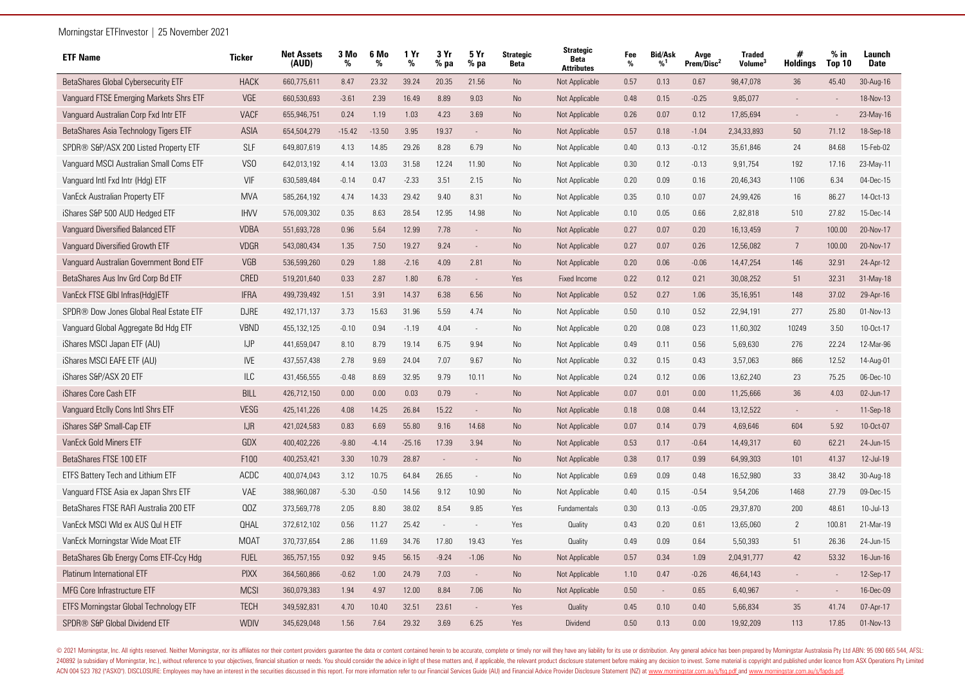| <b>ETF Name</b>                         | <b>Ticker</b>   | <b>Net Assets</b><br>(AUD) | 3 Mo<br>% | 6 Mo<br>% | 1 Yr<br>% | 3 Yr<br>$%$ pa | 5 Yr<br>% pa | <b>Strategic</b><br><b>Beta</b> | <b>Strategic</b><br>Beta<br><b>Attributes</b> | Fee<br>% | <b>Bid/Ask</b><br>%1 | Avge<br>Prem/Disc <sup>2</sup> | <b>Traded</b><br>Volume <sup>®</sup> | #<br><b>Holdings</b> | $%$ in<br><b>Top 10</b> | Launch<br><b>Date</b> |
|-----------------------------------------|-----------------|----------------------------|-----------|-----------|-----------|----------------|--------------|---------------------------------|-----------------------------------------------|----------|----------------------|--------------------------------|--------------------------------------|----------------------|-------------------------|-----------------------|
| BetaShares Global Cybersecurity ETF     | <b>HACK</b>     | 660,775,611                | 8.47      | 23.32     | 39.24     | 20.35          | 21.56        | <b>No</b>                       | Not Applicable                                | 0.57     | 0.13                 | 0.67                           | 98,47,078                            | 36                   | 45.40                   | 30-Aug-16             |
| Vanguard FTSE Emerging Markets Shrs ETF | VGE             | 660,530,693                | $-3.61$   | 2.39      | 16.49     | 8.89           | 9.03         | <b>No</b>                       | Not Applicable                                | 0.48     | 0.15                 | $-0.25$                        | 9,85,077                             |                      |                         | 18-Nov-13             |
| Vanguard Australian Corp Fxd Intr ETF   | <b>VACF</b>     | 655,946,751                | 0.24      | 1.19      | 1.03      | 4.23           | 3.69         | No                              | Not Applicable                                | 0.26     | 0.07                 | 0.12                           | 17,85,694                            |                      |                         | 23-May-16             |
| BetaShares Asia Technology Tigers ETF   | <b>ASIA</b>     | 654,504,279                | $-15.42$  | $-13.50$  | 3.95      | 19.37          | $\sim$       | <b>No</b>                       | Not Applicable                                | 0.57     | 0.18                 | $-1.04$                        | 2,34,33,893                          | 50                   | 71.12                   | 18-Sep-18             |
| SPDR® S&P/ASX 200 Listed Property ETF   | <b>SLF</b>      | 649,807,619                | 4.13      | 14.85     | 29.26     | 8.28           | 6.79         | No                              | Not Applicable                                | 0.40     | 0.13                 | $-0.12$                        | 35,61,846                            | 24                   | 84.68                   | 15-Feb-02             |
| Vanguard MSCI Australian Small Coms ETF | VS <sub>0</sub> | 642,013,192                | 4.14      | 13.03     | 31.58     | 12.24          | 11.90        | No                              | Not Applicable                                | 0.30     | 0.12                 | $-0.13$                        | 9,91,754                             | 192                  | 17.16                   | 23-May-11             |
| Vanguard Intl Fxd Intr (Hdg) ETF        | VIF             | 630,589,484                | $-0.14$   | 0.47      | $-2.33$   | 3.51           | 2.15         | No                              | Not Applicable                                | 0.20     | 0.09                 | 0.16                           | 20,46,343                            | 1106                 | 6.34                    | 04-Dec-15             |
| VanEck Australian Property ETF          | <b>MVA</b>      | 585,264,192                | 4.74      | 14.33     | 29.42     | 9.40           | 8.31         | No                              | Not Applicable                                | 0.35     | 0.10                 | 0.07                           | 24,99,426                            | 16                   | 86.27                   | 14-Oct-13             |
| iShares S&P 500 AUD Hedged ETF          | <b>IHVV</b>     | 576,009,302                | 0.35      | 8.63      | 28.54     | 12.95          | 14.98        | N <sub>o</sub>                  | Not Applicable                                | 0.10     | 0.05                 | 0.66                           | 2,82,818                             | 510                  | 27.82                   | 15-Dec-14             |
| Vanguard Diversified Balanced ETF       | <b>VDBA</b>     | 551,693,728                | 0.96      | 5.64      | 12.99     | 7.78           |              | No                              | Not Applicable                                | 0.27     | 0.07                 | 0.20                           | 16,13,459                            | $\overline{7}$       | 100.00                  | 20-Nov-17             |
| Vanguard Diversified Growth ETF         | VDGR            | 543,080,434                | 1.35      | 7.50      | 19.27     | 9.24           |              | <b>No</b>                       | Not Applicable                                | 0.27     | 0.07                 | 0.26                           | 12,56,082                            | $\overline{7}$       | 100.00                  | 20-Nov-17             |
| Vanguard Australian Government Bond ETF | VGB             | 536,599,260                | 0.29      | 1.88      | $-2.16$   | 4.09           | 2.81         | No                              | Not Applicable                                | 0.20     | 0.06                 | $-0.06$                        | 14,47,254                            | 146                  | 32.91                   | 24-Apr-12             |
| BetaShares Aus Inv Grd Corp Bd ETF      | CRED            | 519,201,640                | 0.33      | 2.87      | 1.80      | 6.78           |              | Yes                             | <b>Fixed Income</b>                           | 0.22     | 0.12                 | 0.21                           | 30,08,252                            | 51                   | 32.31                   | 31-May-18             |
| VanEck FTSE GIbI Infras(Hdg)ETF         | <b>IFRA</b>     | 499,739,492                | 1.51      | 3.91      | 14.37     | 6.38           | 6.56         | No                              | Not Applicable                                | 0.52     | 0.27                 | 1.06                           | 35,16,951                            | 148                  | 37.02                   | 29-Apr-16             |
| SPDR® Dow Jones Global Real Estate ETF  | <b>DJRE</b>     | 492,171,137                | 3.73      | 15.63     | 31.96     | 5.59           | 4.74         | No                              | Not Applicable                                | 0.50     | 0.10                 | 0.52                           | 22,94,191                            | 277                  | 25.80                   | 01-Nov-13             |
| Vanguard Global Aggregate Bd Hdg ETF    | <b>VBND</b>     | 455,132,125                | $-0.10$   | 0.94      | $-1.19$   | 4.04           | $\sim$       | No                              | Not Applicable                                | 0.20     | 0.08                 | 0.23                           | 11,60,302                            | 10249                | 3.50                    | 10-0ct-17             |
| iShares MSCI Japan ETF (AU)             | IJP             | 441,659,047                | 8.10      | 8.79      | 19.14     | 6.75           | 9.94         | No                              | Not Applicable                                | 0.49     | 0.11                 | 0.56                           | 5,69,630                             | 276                  | 22.24                   | 12-Mar-96             |
| iShares MSCI EAFE ETF (AU)              | <b>IVE</b>      | 437,557,438                | 2.78      | 9.69      | 24.04     | 7.07           | 9.67         | No                              | Not Applicable                                | 0.32     | 0.15                 | 0.43                           | 3,57,063                             | 866                  | 12.52                   | 14-Aug-01             |
| iShares S&P/ASX 20 ETF                  | ILC             | 431,456,555                | $-0.48$   | 8.69      | 32.95     | 9.79           | 10.11        | No                              | Not Applicable                                | 0.24     | 0.12                 | 0.06                           | 13,62,240                            | 23                   | 75.25                   | 06-Dec-10             |
| iShares Core Cash ETF                   | <b>BILL</b>     | 426,712,150                | 0.00      | 0.00      | 0.03      | 0.79           |              | No                              | Not Applicable                                | 0.07     | 0.01                 | 0.00                           | 11,25,666                            | 36                   | 4.03                    | 02-Jun-17             |
| Vanguard Etclly Cons Intl Shrs ETF      | <b>VESG</b>     | 425,141,226                | 4.08      | 14.25     | 26.84     | 15.22          | $\sim$       | <b>No</b>                       | Not Applicable                                | 0.18     | 0.08                 | 0.44                           | 13,12,522                            |                      |                         | 11-Sep-18             |
| iShares S&P Small-Cap ETF               | IJR             | 421,024,583                | 0.83      | 6.69      | 55.80     | 9.16           | 14.68        | No                              | Not Applicable                                | 0.07     | 0.14                 | 0.79                           | 4,69,646                             | 604                  | 5.92                    | 10-Oct-07             |
| <b>VanEck Gold Miners ETF</b>           | GDX             | 400,402,226                | $-9.80$   | $-4.14$   | $-25.16$  | 17.39          | 3.94         | <b>No</b>                       | Not Applicable                                | 0.53     | 0.17                 | $-0.64$                        | 14,49,317                            | 60                   | 62.21                   | 24-Jun-15             |
| BetaShares FTSE 100 ETF                 | F100            | 400,253,421                | 3.30      | 10.79     | 28.87     |                |              | <b>No</b>                       | Not Applicable                                | 0.38     | 0.17                 | 0.99                           | 64,99,303                            | 101                  | 41.37                   | 12-Jul-19             |
| ETFS Battery Tech and Lithium ETF       | <b>ACDC</b>     | 400,074,043                | 3.12      | 10.75     | 64.84     | 26.65          |              | <b>No</b>                       | Not Applicable                                | 0.69     | 0.09                 | 0.48                           | 16,52,980                            | 33                   | 38.42                   | 30-Aug-18             |
| Vanguard FTSE Asia ex Japan Shrs ETF    | VAE             | 388,960,087                | $-5.30$   | $-0.50$   | 14.56     | 9.12           | 10.90        | No                              | Not Applicable                                | 0.40     | 0.15                 | $-0.54$                        | 9,54,206                             | 1468                 | 27.79                   | 09-Dec-15             |
| BetaShares FTSE RAFI Australia 200 ETF  | 00Z             | 373,569,778                | 2.05      | 8.80      | 38.02     | 8.54           | 9.85         | Yes                             | Fundamentals                                  | 0.30     | 0.13                 | $-0.05$                        | 29,37,870                            | 200                  | 48.61                   | 10-Jul-13             |
| VanEck MSCI Wid ex AUS Qui H ETF        | <b>QHAL</b>     | 372,612,102                | 0.56      | 11.27     | 25.42     | $\sim$         | $\sim$       | Yes                             | Quality                                       | 0.43     | 0.20                 | 0.61                           | 13,65,060                            | 2                    | 100.81                  | 21-Mar-19             |
| VanEck Morningstar Wide Moat ETF        | <b>MOAT</b>     | 370,737,654                | 2.86      | 11.69     | 34.76     | 17.80          | 19.43        | Yes                             | Quality                                       | 0.49     | 0.09                 | 0.64                           | 5,50,393                             | 51                   | 26.36                   | 24-Jun-15             |
| BetaShares Glb Energy Coms ETF-Ccy Hdg  | <b>FUEL</b>     | 365,757,155                | 0.92      | 9.45      | 56.15     | $-9.24$        | $-1.06$      | No                              | Not Applicable                                | 0.57     | 0.34                 | 1.09                           | 2,04,91,777                          | 42                   | 53.32                   | 16-Jun-16             |
| Platinum International ETF              | <b>PIXX</b>     | 364,560,866                | $-0.62$   | 1.00      | 24.79     | 7.03           | $\sim$       | <b>No</b>                       | Not Applicable                                | 1.10     | 0.47                 | $-0.26$                        | 46,64,143                            |                      |                         | 12-Sep-17             |
| MFG Core Infrastructure ETF             | <b>MCSI</b>     | 360,079,383                | 1.94      | 4.97      | 12.00     | 8.84           | 7.06         | No                              | Not Applicable                                | 0.50     | $\mathcal{L}$        | 0.65                           | 6,40,967                             |                      |                         | 16-Dec-09             |
| ETFS Morningstar Global Technology ETF  | <b>TECH</b>     | 349,592,831                | 4.70      | 10.40     | 32.51     | 23.61          |              | Yes                             | Quality                                       | 0.45     | 0.10                 | 0.40                           | 5,66,834                             | 35                   | 41.74                   | 07-Apr-17             |
| SPDR® S&P Global Dividend ETF           | <b>WDIV</b>     | 345,629,048                | 1.56      | 7.64      | 29.32     | 3.69           | 6.25         | Yes                             | Dividend                                      | 0.50     | 0.13                 | 0.00                           | 19,92,209                            | 113                  | 17.85                   | 01-Nov-13             |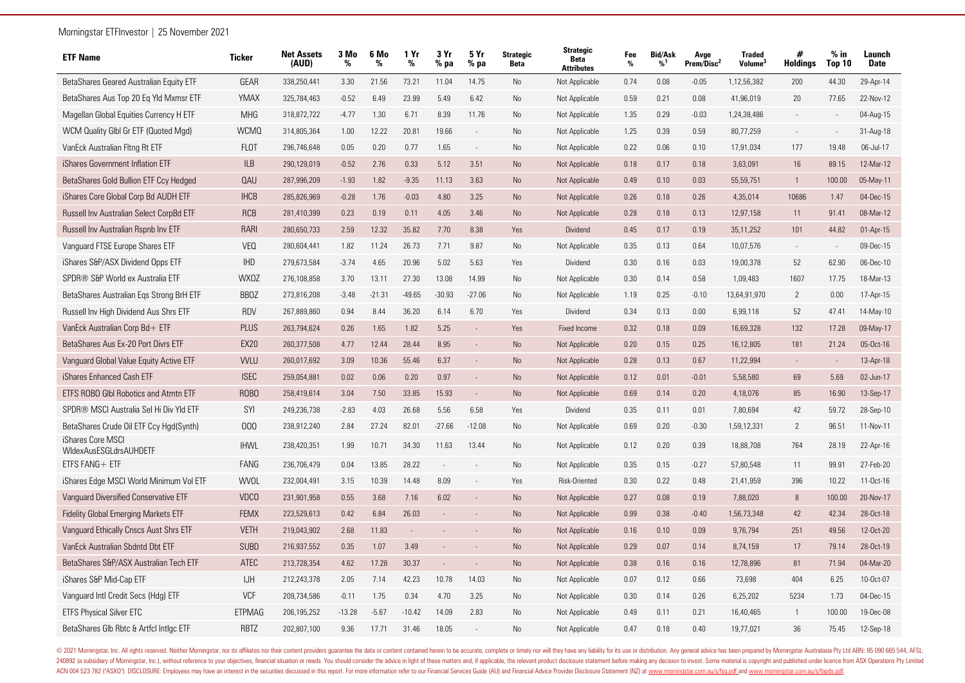| <b>ETF Name</b>                                    | Ticker        | <b>Net Assets</b><br>(AUD) | 3 Mo<br>% | 6 Mo<br>% | 1 Yr<br>%     | 3 Yr<br>$%$ pa           | 5 Yr<br>$%$ pa           | <b>Strategic</b><br><b>Beta</b> | <b>Strategic</b><br><b>Beta</b><br><b>Attributes</b> | Fee<br>% | <b>Bid/Ask</b><br>%1 | Avge<br>Prem/Disc <sup>2</sup> | <b>Traded</b><br><b>Volume</b> | #<br><b>Holdings</b>     | $%$ in<br>Top 10 | Launch<br><b>Date</b> |
|----------------------------------------------------|---------------|----------------------------|-----------|-----------|---------------|--------------------------|--------------------------|---------------------------------|------------------------------------------------------|----------|----------------------|--------------------------------|--------------------------------|--------------------------|------------------|-----------------------|
| BetaShares Geared Australian Equity ETF            | GEAR          | 338,250,441                | 3.30      | 21.56     | 73.21         | 11.04                    | 14.75                    | No                              | Not Applicable                                       | 0.74     | 0.08                 | $-0.05$                        | 1,12,56,382                    | 200                      | 44.30            | 29-Apr-14             |
| BetaShares Aus Top 20 Eq Yld Mxmsr ETF             | YMAX          | 325,784,463                | $-0.52$   | 6.49      | 23.99         | 5.49                     | 6.42                     | No                              | Not Applicable                                       | 0.59     | 0.21                 | 0.08                           | 41,96,019                      | 20                       | 77.65            | 22-Nov-12             |
| Magellan Global Equities Currency H ETF            | <b>MHG</b>    | 318,872,722                | $-4.77$   | 1.30      | 6.71          | 8.39                     | 11.76                    | No                              | Not Applicable                                       | 1.35     | 0.29                 | $-0.03$                        | 1,24,38,486                    |                          |                  | 04-Aug-15             |
| WCM Quality Glbl Gr ETF (Quoted Mgd)               | <b>WCMQ</b>   | 314,805,364                | 1.00      | 12.22     | 20.81         | 19.66                    | $\overline{\phantom{a}}$ | No                              | Not Applicable                                       | 1.25     | 0.39                 | 0.59                           | 80,77,259                      |                          |                  | 31-Aug-18             |
| VanEck Australian Fltng Rt ETF                     | <b>FLOT</b>   | 296,746,648                | 0.05      | 0.20      | 0.77          | 1.65                     | $\sim$                   | No                              | Not Applicable                                       | 0.22     | 0.06                 | 0.10                           | 17,91,034                      | 177                      | 19.48            | 06-Jul-17             |
| iShares Government Inflation ETF                   | <b>ILB</b>    | 290,129,019                | $-0.52$   | 2.76      | 0.33          | 5.12                     | 3.51                     | <b>No</b>                       | Not Applicable                                       | 0.18     | 0.17                 | 0.18                           | 3,63,091                       | 16                       | 89.15            | 12-Mar-12             |
| BetaShares Gold Bullion ETF Ccy Hedged             | QAU           | 287,996,209                | $-1.93$   | 1.82      | $-9.35$       | 11.13                    | 3.63                     | <b>No</b>                       | Not Applicable                                       | 0.49     | 0.10                 | 0.03                           | 55,59,751                      | $\overline{1}$           | 100.00           | 05-May-11             |
| iShares Core Global Corp Bd AUDH ETF               | <b>IHCB</b>   | 285,826,969                | $-0.28$   | 1.76      | $-0.03$       | 4.80                     | 3.25                     | No                              | Not Applicable                                       | 0.26     | 0.18                 | 0.26                           | 4,35,014                       | 10686                    | 1.47             | 04-Dec-15             |
| Russell Inv Australian Select CorpBd ETF           | <b>RCB</b>    | 281,410,399                | 0.23      | 0.19      | 0.11          | 4.05                     | 3.46                     | No                              | Not Applicable                                       | 0.28     | 0.18                 | 0.13                           | 12,97,158                      | 11                       | 91.41            | 08-Mar-12             |
| Russell Inv Australian Rspnb Inv ETF               | <b>RARI</b>   | 280,650,733                | 2.59      | 12.32     | 35.82         | 7.70                     | 8.38                     | Yes                             | <b>Dividend</b>                                      | 0.45     | 0.17                 | 0.19                           | 35,11,252                      | 101                      | 44.82            | $01-Apr-15$           |
| Vanguard FTSE Europe Shares ETF                    | <b>VEQ</b>    | 280,604,441                | 1.82      | 11.24     | 26.73         | 7.71                     | 9.87                     | N <sub>o</sub>                  | Not Applicable                                       | 0.35     | 0.13                 | 0.64                           | 10,07,576                      | $\overline{\phantom{a}}$ | $\sim$           | 09-Dec-15             |
| iShares S&P/ASX Dividend Opps ETF                  | <b>IHD</b>    | 279,673,584                | $-3.74$   | 4.65      | 20.96         | 5.02                     | 5.63                     | Yes                             | Dividend                                             | 0.30     | 0.16                 | 0.03                           | 19,00,378                      | 52                       | 62.90            | 06-Dec-10             |
| SPDR® S&P World ex Australia ETF                   | <b>WXOZ</b>   | 276,108,858                | 3.70      | 13.11     | 27.30         | 13.08                    | 14.99                    | <b>No</b>                       | Not Applicable                                       | 0.30     | 0.14                 | 0.58                           | 1.09.483                       | 1607                     | 17.75            | 18-Mar-13             |
| BetaShares Australian Egs Strong BrH ETF           | <b>BBOZ</b>   | 273,816,208                | $-3.48$   | $-21.31$  | $-49.65$      | $-30.93$                 | $-27.06$                 | No                              | Not Applicable                                       | 1.19     | 0.25                 | $-0.10$                        | 13,64,91,970                   | 2                        | 0.00             | 17-Apr-15             |
| Russell Inv High Dividend Aus Shrs ETF             | <b>RDV</b>    | 267,889,860                | 0.94      | 8.44      | 36.20         | 6.14                     | 6.70                     | Yes                             | Dividend                                             | 0.34     | 0.13                 | 0.00                           | 6,99,118                       | 52                       | 47.41            | 14-May-10             |
| VanEck Australian Corp Bd+ ETF                     | PLUS          | 263,794,624                | 0.26      | 1.65      | 1.82          | 5.25                     | $\sim$                   | Yes                             | <b>Fixed Income</b>                                  | 0.32     | 0.18                 | 0.09                           | 16,69,328                      | 132                      | 17.28            | 09-May-17             |
| BetaShares Aus Ex-20 Port Divrs ETF                | <b>EX20</b>   | 260,377,508                | 4.77      | 12.44     | 28.44         | 8.95                     | $\sim$                   | <b>No</b>                       | Not Applicable                                       | 0.20     | 0.15                 | 0.25                           | 16,12,805                      | 181                      | 21.24            | 05-Oct-16             |
| Vanguard Global Value Equity Active ETF            | <b>VVLU</b>   | 260,017,692                | 3.09      | 10.36     | 55.46         | 6.37                     | $\sim$                   | <b>No</b>                       | Not Applicable                                       | 0.28     | 0.13                 | 0.67                           | 11,22,994                      |                          |                  | 13-Apr-18             |
| iShares Enhanced Cash ETF                          | <b>ISEC</b>   | 259,054,881                | 0.02      | 0.06      | 0.20          | 0.97                     | $\sim$                   | No                              | Not Applicable                                       | 0.12     | 0.01                 | $-0.01$                        | 5,58,580                       | 69                       | 5.69             | 02-Jun-17             |
| ETFS ROBO GIbI Robotics and Atmtn ETF              | ROBO          | 258,419,614                | 3.04      | 7.50      | 33.85         | 15.93                    | $\sim$                   | <b>No</b>                       | Not Applicable                                       | 0.69     | 0.14                 | 0.20                           | 4,18,076                       | 85                       | 16.90            | 13-Sep-17             |
| SPDR® MSCI Australia Sel Hi Div Yld ETF            | SYI           | 249,236,738                | $-2.83$   | 4.03      | 26.68         | 5.56                     | 6.58                     | Yes                             | Dividend                                             | 0.35     | 0.11                 | 0.01                           | 7,80,694                       | 42                       | 59.72            | 28-Sep-10             |
| BetaShares Crude Oil ETF Ccy Hgd(Synth)            | 000           | 238,912,240                | 2.84      | 27.24     | 82.01         | $-27.66$                 | $-12.08$                 | No                              | Not Applicable                                       | 0.69     | 0.20                 | $-0.30$                        | 1,59,12,331                    | $\overline{2}$           | 96.51            | 11-Nov-11             |
| iShares Core MSCI<br><b>WIdexAusESGLdrsAUHDETF</b> | <b>IHWL</b>   | 238,420,351                | 1.99      | 10.71     | 34.30         | 11.63                    | 13.44                    | No                              | Not Applicable                                       | 0.12     | 0.20                 | 0.39                           | 18,88,708                      | 764                      | 28.19            | 22-Apr-16             |
| ETFS FANG+ ETF                                     | FANG          | 236,706,479                | 0.04      | 13.85     | 28.22         | $\mathcal{L}$            |                          | No                              | Not Applicable                                       | 0.35     | 0.15                 | $-0.27$                        | 57,80,548                      | 11                       | 99.91            | 27-Feb-20             |
| iShares Edge MSCI World Minimum Vol ETF            | <b>WVOL</b>   | 232,004,491                | 3.15      | 10.39     | 14.48         | 8.09                     |                          | Yes                             | Risk-Oriented                                        | 0.30     | 0.22                 | 0.48                           | 21.41.959                      | 396                      | 10.22            | 11-Oct-16             |
| Vanguard Diversified Conservative ETF              | <b>VDCO</b>   | 231,901,958                | 0.55      | 3.68      | 7.16          | 6.02                     |                          | <b>No</b>                       | Not Applicable                                       | 0.27     | 0.08                 | 0.19                           | 7,88,020                       | 8                        | 100.00           | 20-Nov-17             |
| <b>Fidelity Global Emerging Markets ETF</b>        | <b>FEMX</b>   | 223,529,613                | 0.42      | 6.84      | 26.03         |                          |                          | No                              | Not Applicable                                       | 0.99     | 0.38                 | $-0.40$                        | 1,56,73,348                    | 42                       | 42.34            | 28-Oct-18             |
| Vanguard Ethically Cnscs Aust Shrs ETF             | <b>VETH</b>   | 219,043,902                | 2.68      | 11.83     | $\mathcal{L}$ |                          |                          | No                              | Not Applicable                                       | 0.16     | 0.10                 | 0.09                           | 9,76,794                       | 251                      | 49.56            | 12-Oct-20             |
| VanEck Australian Sbdntd Dbt ETF                   | <b>SUBD</b>   | 216,937,552                | 0.35      | 1.07      | 3.49          |                          |                          | <b>No</b>                       | Not Applicable                                       | 0.29     | 0.07                 | 0.14                           | 8,74,159                       | 17                       | 79.14            | 28-Oct-19             |
| BetaShares S&P/ASX Australian Tech ETF             | <b>ATEC</b>   | 213,728,354                | 4.62      | 17.28     | 30.37         | $\overline{\phantom{a}}$ |                          | <b>No</b>                       | Not Applicable                                       | 0.38     | 0.16                 | 0.16                           | 12,78,896                      | 81                       | 71.94            | 04-Mar-20             |
| iShares S&P Mid-Cap ETF                            | <b>IJH</b>    | 212,243,378                | 2.05      | 7.14      | 42.23         | 10.78                    | 14.03                    | No                              | Not Applicable                                       | 0.07     | 0.12                 | 0.66                           | 73,698                         | 404                      | 6.25             | 10-Oct-07             |
| Vanguard Intl Credit Secs (Hdg) ETF                | <b>VCF</b>    | 209,734,586                | $-0.11$   | 1.75      | 0.34          | 4.70                     | 3.25                     | No                              | Not Applicable                                       | 0.30     | 0.14                 | 0.26                           | 6,25,202                       | 5234                     | 1.73             | 04-Dec-15             |
| <b>ETFS Physical Silver ETC</b>                    | <b>ETPMAG</b> | 206,195,252                | $-13.28$  | $-5.67$   | $-10.42$      | 14.09                    | 2.83                     | N <sub>o</sub>                  | Not Applicable                                       | 0.49     | 0.11                 | 0.21                           | 16,40,465                      |                          | 100.00           | 19-Dec-08             |
| BetaShares Glb Rbtc & Artfcl Intlgc ETF            | <b>RBTZ</b>   | 202,807,100                | 9.36      | 17.71     | 31.46         | 18.05                    |                          | N <sub>o</sub>                  | Not Applicable                                       | 0.47     | 0.18                 | 0.40                           | 19,77,021                      | 36                       | 75.45            | 12-Sep-18             |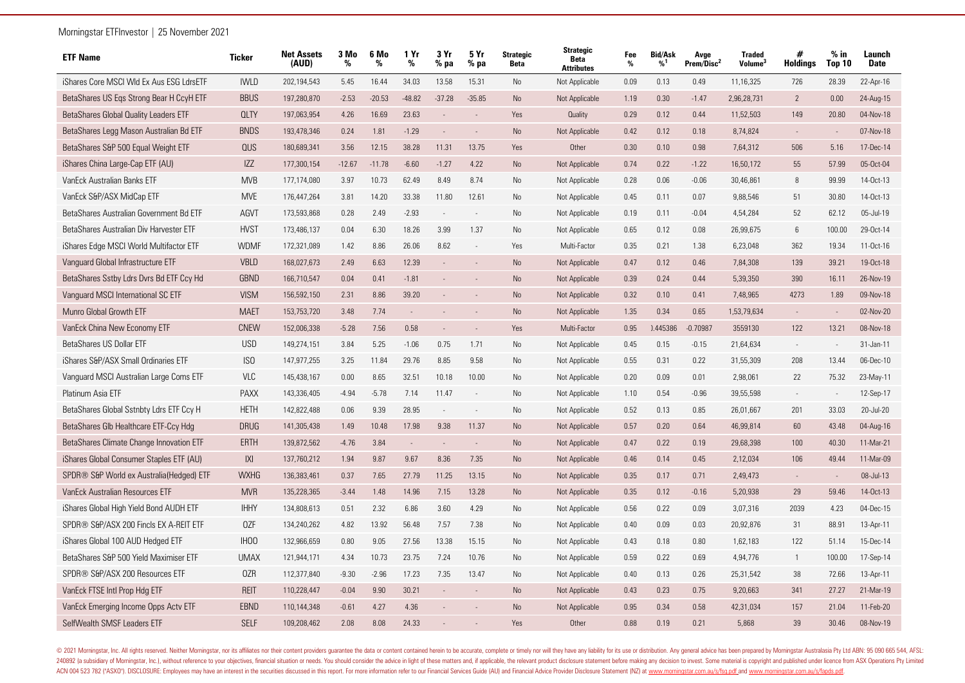| <b>ETF Name</b>                          | <b>Ticker</b>    | <b>Net Assets</b><br>(AUD) | 3 Mo<br>% | 6 Mo<br>% | 1 Yr<br>%     | 3 Yr<br>$%$ pa           | 5 Yr<br>$%$ pa | <b>Strategic</b><br>Beta | <b>Strategic</b><br><b>Beta</b><br><b>Attributes</b> | Fee<br>% | <b>Bid/Ask</b><br>%1 | Avge<br>Prem/Disc <sup>2</sup> | <b>Traded</b><br>Volume <sup>3</sup> | #<br><b>Holdings</b>     | $%$ in<br><b>Top 10</b> | Launch<br><b>Date</b> |
|------------------------------------------|------------------|----------------------------|-----------|-----------|---------------|--------------------------|----------------|--------------------------|------------------------------------------------------|----------|----------------------|--------------------------------|--------------------------------------|--------------------------|-------------------------|-----------------------|
| iShares Core MSCI WId Ex Aus ESG LdrsETF | <b>IWLD</b>      | 202,194,543                | 5.45      | 16.44     | 34.03         | 13.58                    | 15.31          | No                       | Not Applicable                                       | 0.09     | 0.13                 | 0.49                           | 11,16,325                            | 726                      | 28.39                   | 22-Apr-16             |
| BetaShares US Eqs Strong Bear H CcyH ETF | <b>BBUS</b>      | 197,280,870                | $-2.53$   | $-20.53$  | $-48.82$      | $-37.28$                 | $-35.85$       | <b>No</b>                | Not Applicable                                       | 1.19     | 0.30                 | $-1.47$                        | 2,96,28,731                          | $\overline{2}$           | 0.00                    | 24-Aug-15             |
| BetaShares Global Quality Leaders ETF    | <b>QLTY</b>      | 197,063,954                | 4.26      | 16.69     | 23.63         | $\overline{a}$           |                | Yes                      | Quality                                              | 0.29     | 0.12                 | 0.44                           | 11,52,503                            | 149                      | 20.80                   | 04-Nov-18             |
| BetaShares Legg Mason Australian Bd ETF  | <b>BNDS</b>      | 193,478,346                | 0.24      | 1.81      | $-1.29$       |                          | $\sim$         | <b>No</b>                | Not Applicable                                       | 0.42     | 0.12                 | 0.18                           | 8,74,824                             | $\overline{\phantom{a}}$ | $\sim$                  | 07-Nov-18             |
| BetaShares S&P 500 Equal Weight ETF      | QUS              | 180,689,341                | 3.56      | 12.15     | 38.28         | 11.31                    | 13.75          | Yes                      | Other                                                | 0.30     | 0.10                 | 0.98                           | 7,64,312                             | 506                      | 5.16                    | 17-Dec-14             |
| iShares China Large-Cap ETF (AU)         | IZZ              | 177,300,154                | $-12.67$  | $-11.78$  | $-6.60$       | $-1.27$                  | 4.22           | <b>No</b>                | Not Applicable                                       | 0.74     | 0.22                 | $-1.22$                        | 16,50,172                            | 55                       | 57.99                   | 05-Oct-04             |
| VanEck Australian Banks ETF              | <b>MVB</b>       | 177,174,080                | 3.97      | 10.73     | 62.49         | 8.49                     | 8.74           | No                       | Not Applicable                                       | 0.28     | 0.06                 | $-0.06$                        | 30,46,861                            | 8                        | 99.99                   | 14-Oct-13             |
| VanEck S&P/ASX MidCap ETF                | <b>MVE</b>       | 176,447,264                | 3.81      | 14.20     | 33.38         | 11.80                    | 12.61          | N <sub>o</sub>           | Not Applicable                                       | 0.45     | 0.11                 | 0.07                           | 9,88,546                             | 51                       | 30.80                   | 14-Oct-13             |
| BetaShares Australian Government Bd ETF  | AGVT             | 173,593,868                | 0.28      | 2.49      | $-2.93$       | $\sim$                   | $\sim$         | No                       | Not Applicable                                       | 0.19     | 0.11                 | $-0.04$                        | 4,54,284                             | 52                       | 62.12                   | 05-Jul-19             |
| BetaShares Australian Div Harvester ETF  | <b>HVST</b>      | 173,486,137                | 0.04      | 6.30      | 18.26         | 3.99                     | 1.37           | <b>No</b>                | Not Applicable                                       | 0.65     | 0.12                 | 0.08                           | 26,99,675                            | 6                        | 100.00                  | 29-Oct-14             |
| iShares Edge MSCI World Multifactor ETF  | <b>WDMF</b>      | 172,321,089                | 1.42      | 8.86      | 26.06         | 8.62                     | $\sim$         | Yes                      | Multi-Factor                                         | 0.35     | 0.21                 | 1.38                           | 6,23,048                             | 362                      | 19.34                   | 11-Oct-16             |
| Vanguard Global Infrastructure ETF       | <b>VBLD</b>      | 168,027,673                | 2.49      | 6.63      | 12.39         | $\frac{1}{2}$            |                | <b>No</b>                | Not Applicable                                       | 0.47     | 0.12                 | 0.46                           | 7,84,308                             | 139                      | 39.21                   | 19-Oct-18             |
| BetaShares Sstby Ldrs Dvrs Bd ETF Ccy Hd | <b>GBND</b>      | 166,710,547                | 0.04      | 0.41      | $-1.81$       | $\overline{a}$           |                | <b>No</b>                | Not Applicable                                       | 0.39     | 0.24                 | 0.44                           | 5,39,350                             | 390                      | 16.11                   | 26-Nov-19             |
| Vanguard MSCI International SC ETF       | <b>VISM</b>      | 156,592,150                | 2.31      | 8.86      | 39.20         |                          |                | <b>No</b>                | Not Applicable                                       | 0.32     | 0.10                 | 0.41                           | 7,48,965                             | 4273                     | 1.89                    | 09-Nov-18             |
| Munro Global Growth ETF                  | <b>MAET</b>      | 153,753,720                | 3.48      | 7.74      | $\mathcal{L}$ |                          |                | No                       | Not Applicable                                       | 1.35     | 0.34                 | 0.65                           | 1,53,79,634                          |                          |                         | 02-Nov-20             |
| VanEck China New Economy ETF             | <b>CNEW</b>      | 152,006,338                | $-5.28$   | 7.56      | 0.58          | $\overline{\phantom{a}}$ |                | Yes                      | Multi-Factor                                         | 0.95     | 0.445386             | $-0.70987$                     | 3559130                              | 122                      | 13.21                   | 08-Nov-18             |
| BetaShares US Dollar ETF                 | <b>USD</b>       | 149,274,151                | 3.84      | 5.25      | $-1.06$       | 0.75                     | 1.71           | N <sub>o</sub>           | Not Applicable                                       | 0.45     | 0.15                 | $-0.15$                        | 21,64,634                            |                          |                         | 31-Jan-11             |
| iShares S&P/ASX Small Ordinaries ETF     | IS <sub>0</sub>  | 147,977,255                | 3.25      | 11.84     | 29.76         | 8.85                     | 9.58           | No                       | Not Applicable                                       | 0.55     | 0.31                 | 0.22                           | 31,55,309                            | 208                      | 13.44                   | 06-Dec-10             |
| Vanguard MSCI Australian Large Coms ETF  | VLC              | 145,438,167                | 0.00      | 8.65      | 32.51         | 10.18                    | 10.00          | No                       | Not Applicable                                       | 0.20     | 0.09                 | 0.01                           | 2,98,061                             | 22                       | 75.32                   | 23-May-11             |
| Platinum Asia ETF                        | <b>PAXX</b>      | 143,336,405                | $-4.94$   | $-5.78$   | 7.14          | 11.47                    |                | No                       | Not Applicable                                       | 1.10     | 0.54                 | $-0.96$                        | 39,55,598                            |                          |                         | 12-Sep-17             |
| BetaShares Global Sstnbty Ldrs ETF Ccy H | <b>HETH</b>      | 142,822,488                | 0.06      | 9.39      | 28.95         | $\overline{\phantom{a}}$ | $\sim$         | No                       | Not Applicable                                       | 0.52     | 0.13                 | 0.85                           | 26,01,667                            | 201                      | 33.03                   | 20-Jul-20             |
| BetaShares Glb Healthcare ETF-Ccy Hdg    | <b>DRUG</b>      | 141,305,438                | 1.49      | 10.48     | 17.98         | 9.38                     | 11.37          | <b>No</b>                | Not Applicable                                       | 0.57     | 0.20                 | 0.64                           | 46,99,814                            | 60                       | 43.48                   | 04-Aug-16             |
| BetaShares Climate Change Innovation ETF | ERTH             | 139,872,562                | $-4.76$   | 3.84      | $\sim$        | $\overline{a}$           | $\sim$         | <b>No</b>                | Not Applicable                                       | 0.47     | 0.22                 | 0.19                           | 29,68,398                            | 100                      | 40.30                   | 11-Mar-21             |
| iShares Global Consumer Staples ETF (AU) | X                | 137,760,212                | 1.94      | 9.87      | 9.67          | 8.36                     | 7.35           | <b>No</b>                | Not Applicable                                       | 0.46     | 0.14                 | 0.45                           | 2,12,034                             | 106                      | 49.44                   | 11-Mar-09             |
| SPDR® S&P World ex Australia(Hedged) ETF | <b>WXHG</b>      | 136,383,461                | 0.37      | 7.65      | 27.79         | 11.25                    | 13.15          | No                       | Not Applicable                                       | 0.35     | 0.17                 | 0.71                           | 2,49,473                             |                          |                         | 08-Jul-13             |
| VanEck Australian Resources ETF          | <b>MVR</b>       | 135,228,365                | $-3.44$   | 1.48      | 14.96         | 7.15                     | 13.28          | No                       | Not Applicable                                       | 0.35     | 0.12                 | $-0.16$                        | 5,20,938                             | 29                       | 59.46                   | 14-Oct-13             |
| iShares Global High Yield Bond AUDH ETF  | <b>IHHY</b>      | 134,808,613                | 0.51      | 2.32      | 6.86          | 3.60                     | 4.29           | No                       | Not Applicable                                       | 0.56     | 0.22                 | 0.09                           | 3,07,316                             | 2039                     | 4.23                    | 04-Dec-15             |
| SPDR® S&P/ASX 200 Fincls EX A-REIT ETF   | 0ZF              | 134,240,262                | 4.82      | 13.92     | 56.48         | 7.57                     | 7.38           | No                       | Not Applicable                                       | 0.40     | 0.09                 | 0.03                           | 20,92,876                            | 31                       | 88.91                   | 13-Apr-11             |
| iShares Global 100 AUD Hedged ETF        | IH <sub>00</sub> | 132,966,659                | 0.80      | 9.05      | 27.56         | 13.38                    | 15.15          | No.                      | Not Applicable                                       | 0.43     | 0.18                 | 0.80                           | 1,62,183                             | 122                      | 51.14                   | 15-Dec-14             |
| BetaShares S&P 500 Yield Maximiser ETF   | <b>UMAX</b>      | 121,944,171                | 4.34      | 10.73     | 23.75         | 7.24                     | 10.76          | No                       | Not Applicable                                       | 0.59     | 0.22                 | 0.69                           | 4,94,776                             | $\mathbf{1}$             | 100.00                  | 17-Sep-14             |
| SPDR® S&P/ASX 200 Resources ETF          | 0ZR              | 112,377,840                | $-9.30$   | $-2.96$   | 17.23         | 7.35                     | 13.47          | No                       | Not Applicable                                       | 0.40     | 0.13                 | 0.26                           | 25,31,542                            | 38                       | 72.66                   | 13-Apr-11             |
| VanEck FTSE Intl Prop Hdg ETF            | <b>REIT</b>      | 110,228,447                | $-0.04$   | 9.90      | 30.21         | $\overline{\phantom{a}}$ | $\sim$         | <b>No</b>                | Not Applicable                                       | 0.43     | 0.23                 | 0.75                           | 9,20,663                             | 341                      | 27.27                   | 21-Mar-19             |
| VanEck Emerging Income Opps Actv ETF     | <b>EBND</b>      | 110,144,348                | $-0.61$   | 4.27      | 4.36          |                          |                | <b>No</b>                | Not Applicable                                       | 0.95     | 0.34                 | 0.58                           | 42,31,034                            | 157                      | 21.04                   | 11-Feb-20             |
| SelfWealth SMSF Leaders ETF              | <b>SELF</b>      | 109,208,462                | 2.08      | 8.08      | 24.33         |                          |                | Yes                      | Other                                                | 0.88     | 0.19                 | 0.21                           | 5,868                                | 39                       | 30.46                   | 08-Nov-19             |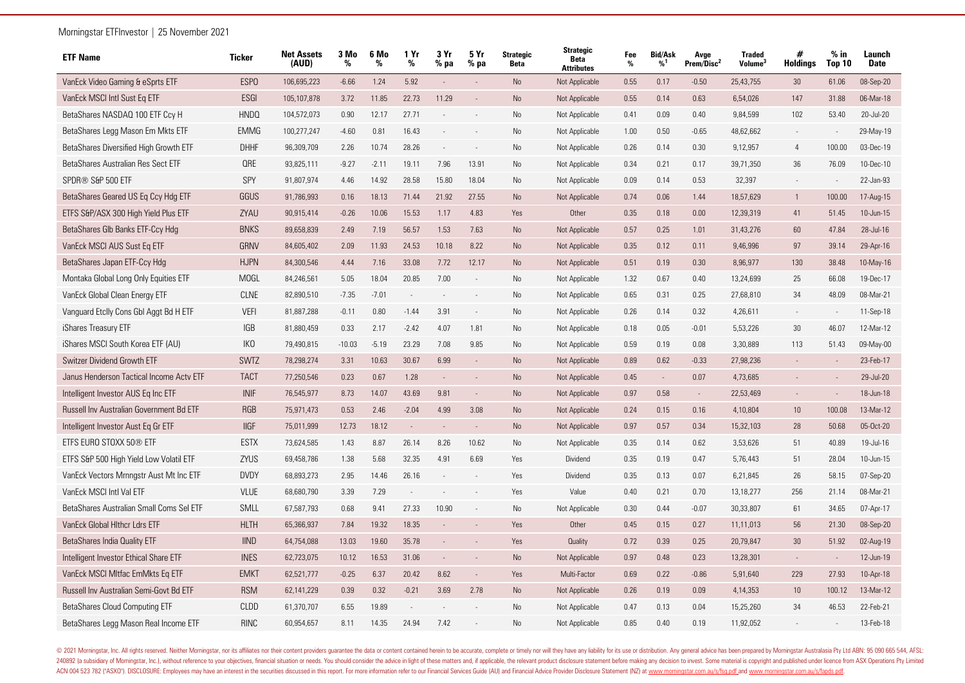| <b>ETF Name</b>                          | <b>Ticker</b>   | <b>Net Assets</b><br>(AUD) | 3 Mo<br>% | 6 Mo<br>% | 1 Yr<br>%      | 3 Yr<br>$%$ pa           | 5 Yr<br>% pa             | <b>Strategic</b><br><b>Beta</b> | <b>Strategic</b><br><b>Beta</b><br><b>Attributes</b> | Fee<br>% | <b>Bid/Ask</b><br>%1 | Avge<br>Prem/Disc <sup>2</sup> | <b>Traded</b><br>Volume <sup>®</sup> | #<br><b>Holdings</b> | $%$ in<br>Top 10 | Launch<br><b>Date</b> |
|------------------------------------------|-----------------|----------------------------|-----------|-----------|----------------|--------------------------|--------------------------|---------------------------------|------------------------------------------------------|----------|----------------------|--------------------------------|--------------------------------------|----------------------|------------------|-----------------------|
| VanEck Video Gaming & eSprts ETF         | <b>ESPO</b>     | 106,695,223                | $-6.66$   | 1.24      | 5.92           | $\mathbb{L}$             |                          | <b>No</b>                       | Not Applicable                                       | 0.55     | 0.17                 | $-0.50$                        | 25,43,755                            | 30 <sup>°</sup>      | 61.06            | 08-Sep-20             |
| VanEck MSCI Intl Sust Eq ETF             | ESGI            | 105,107,878                | 3.72      | 11.85     | 22.73          | 11.29                    |                          | <b>No</b>                       | Not Applicable                                       | 0.55     | 0.14                 | 0.63                           | 6,54,026                             | 147                  | 31.88            | 06-Mar-18             |
| BetaShares NASDAQ 100 ETF Ccy H          | <b>HNDQ</b>     | 104,572,073                | 0.90      | 12.17     | 27.71          |                          |                          | No                              | Not Applicable                                       | 0.41     | 0.09                 | 0.40                           | 9,84,599                             | 102                  | 53.40            | 20-Jul-20             |
| BetaShares Legg Mason Em Mkts ETF        | <b>EMMG</b>     | 100,277,247                | $-4.60$   | 0.81      | 16.43          |                          |                          | No                              | Not Applicable                                       | 1.00     | 0.50                 | $-0.65$                        | 48,62,662                            |                      |                  | 29-May-19             |
| BetaShares Diversified High Growth ETF   | <b>DHHF</b>     | 96,309,709                 | 2.26      | 10.74     | 28.26          |                          |                          | No                              | Not Applicable                                       | 0.26     | 0.14                 | 0.30                           | 9,12,957                             | $\overline{4}$       | 100.00           | 03-Dec-19             |
| BetaShares Australian Res Sect ETF       | <b>QRE</b>      | 93,825,111                 | $-9.27$   | $-2.11$   | 19.11          | 7.96                     | 13.91                    | No                              | Not Applicable                                       | 0.34     | 0.21                 | 0.17                           | 39,71,350                            | 36                   | 76.09            | 10-Dec-10             |
| SPDR® S&P 500 ETF                        | SPY             | 91,807,974                 | 4.46      | 14.92     | 28.58          | 15.80                    | 18.04                    | No                              | Not Applicable                                       | 0.09     | 0.14                 | 0.53                           | 32,397                               |                      |                  | 22-Jan-93             |
| BetaShares Geared US Eq Ccy Hdq ETF      | GGUS            | 91,786,993                 | 0.16      | 18.13     | 71.44          | 21.92                    | 27.55                    | No                              | Not Applicable                                       | 0.74     | 0.06                 | 1.44                           | 18,57,629                            | $\mathbf{1}$         | 100.00           | 17-Aug-15             |
| ETFS S&P/ASX 300 High Yield Plus ETF     | ZYAU            | 90,915,414                 | $-0.26$   | 10.06     | 15.53          | 1.17                     | 4.83                     | Yes                             | Other                                                | 0.35     | 0.18                 | 0.00                           | 12,39,319                            | 41                   | 51.45            | 10-Jun-15             |
| BetaShares Glb Banks ETF-Ccy Hdg         | <b>BNKS</b>     | 89,658,839                 | 2.49      | 7.19      | 56.57          | 1.53                     | 7.63                     | <b>No</b>                       | Not Applicable                                       | 0.57     | 0.25                 | 1.01                           | 31,43,276                            | 60                   | 47.84            | 28-Jul-16             |
| VanEck MSCI AUS Sust Eq ETF              | GRNV            | 84,605,402                 | 2.09      | 11.93     | 24.53          | 10.18                    | 8.22                     | <b>No</b>                       | Not Applicable                                       | 0.35     | 0.12                 | 0.11                           | 9,46,996                             | 97                   | 39.14            | 29-Apr-16             |
| BetaShares Japan ETF-Ccy Hdg             | <b>HJPN</b>     | 84,300,546                 | 4.44      | 7.16      | 33.08          | 7.72                     | 12.17                    | No                              | Not Applicable                                       | 0.51     | 0.19                 | 0.30                           | 8,96,977                             | 130                  | 38.48            | 10-May-16             |
| Montaka Global Long Only Equities ETF    | <b>MOGL</b>     | 84,246,561                 | 5.05      | 18.04     | 20.85          | 7.00                     |                          | No                              | Not Applicable                                       | 1.32     | 0.67                 | 0.40                           | 13,24,699                            | 25                   | 66.08            | 19-Dec-17             |
| VanEck Global Clean Energy ETF           | <b>CLNE</b>     | 82,890,510                 | $-7.35$   | $-7.01$   | $\overline{a}$ |                          |                          | No                              | Not Applicable                                       | 0.65     | 0.31                 | 0.25                           | 27,68,810                            | 34                   | 48.09            | 08-Mar-21             |
| Vanguard Etclly Cons Gbl Aggt Bd H ETF   | <b>VEFI</b>     | 81,887,288                 | $-0.11$   | 0.80      | $-1.44$        | 3.91                     |                          | No                              | Not Applicable                                       | 0.26     | 0.14                 | 0.32                           | 4,26,611                             |                      |                  | 11-Sep-18             |
| iShares Treasury ETF                     | <b>IGB</b>      | 81,880,459                 | 0.33      | 2.17      | $-2.42$        | 4.07                     | 1.81                     | No                              | Not Applicable                                       | 0.18     | 0.05                 | $-0.01$                        | 5,53,226                             | 30                   | 46.07            | 12-Mar-12             |
| iShares MSCI South Korea ETF (AU)        | IK <sub>0</sub> | 79,490,815                 | $-10.03$  | $-5.19$   | 23.29          | 7.08                     | 9.85                     | N <sub>o</sub>                  | Not Applicable                                       | 0.59     | 0.19                 | 0.08                           | 3,30,889                             | 113                  | 51.43            | 09-May-00             |
| Switzer Dividend Growth ETF              | <b>SWTZ</b>     | 78,298,274                 | 3.31      | 10.63     | 30.67          | 6.99                     | $\overline{\phantom{a}}$ | <b>No</b>                       | Not Applicable                                       | 0.89     | 0.62                 | $-0.33$                        | 27,98,236                            |                      | $\sim$           | 23-Feb-17             |
| Janus Henderson Tactical Income Acty ETF | <b>TACT</b>     | 77,250,546                 | 0.23      | 0.67      | 1.28           |                          |                          | <b>No</b>                       | Not Applicable                                       | 0.45     |                      | 0.07                           | 4,73,685                             |                      |                  | 29-Jul-20             |
| Intelligent Investor AUS Eq Inc ETF      | <b>INIF</b>     | 76,545,977                 | 8.73      | 14.07     | 43.69          | 9.81                     | $\overline{\phantom{a}}$ | <b>No</b>                       | Not Applicable                                       | 0.97     | 0.58                 | $\sim$                         | 22,53,469                            |                      |                  | 18-Jun-18             |
| Russell Inv Australian Government Bd ETF | <b>RGB</b>      | 75,971,473                 | 0.53      | 2.46      | $-2.04$        | 4.99                     | 3.08                     | No                              | Not Applicable                                       | 0.24     | 0.15                 | 0.16                           | 4,10,804                             | 10                   | 100.08           | 13-Mar-12             |
| Intelligent Investor Aust Eq Gr ETF      | <b>IIGF</b>     | 75,011,999                 | 12.73     | 18.12     | $\mathcal{L}$  | $\sim$                   | $\sim$                   | <b>No</b>                       | Not Applicable                                       | 0.97     | 0.57                 | 0.34                           | 15,32,103                            | 28                   | 50.68            | 05-Oct-20             |
| ETFS EURO STOXX 50® ETF                  | <b>ESTX</b>     | 73,624,585                 | 1.43      | 8.87      | 26.14          | 8.26                     | 10.62                    | <b>No</b>                       | Not Applicable                                       | 0.35     | 0.14                 | 0.62                           | 3,53,626                             | 51                   | 40.89            | 19-Jul-16             |
| ETFS S&P 500 High Yield Low Volatil ETF  | ZYUS            | 69,458,786                 | 1.38      | 5.68      | 32.35          | 4.91                     | 6.69                     | Yes                             | Dividend                                             | 0.35     | 0.19                 | 0.47                           | 5,76,443                             | 51                   | 28.04            | 10-Jun-15             |
| VanEck Vectors Mrnngstr Aust Mt Inc ETF  | <b>DVDY</b>     | 68,893,273                 | 2.95      | 14.46     | 26.16          |                          |                          | Yes                             | Dividend                                             | 0.35     | 0.13                 | 0.07                           | 6,21,845                             | 26                   | 58.15            | 07-Sep-20             |
| VanEck MSCI Intl Val ETF                 | <b>VLUE</b>     | 68,680,790                 | 3.39      | 7.29      | $\sim$         |                          |                          | Yes                             | Value                                                | 0.40     | 0.21                 | 0.70                           | 13,18,277                            | 256                  | 21.14            | 08-Mar-21             |
| BetaShares Australian Small Coms Sel ETF | SMLL            | 67,587,793                 | 0.68      | 9.41      | 27.33          | 10.90                    |                          | <b>No</b>                       | Not Applicable                                       | 0.30     | 0.44                 | $-0.07$                        | 30,33,807                            | 61                   | 34.65            | 07-Apr-17             |
| VanEck Global Hithcr Ldrs ETF            | <b>HLTH</b>     | 65,366,937                 | 7.84      | 19.32     | 18.35          |                          |                          | Yes                             | Other                                                | 0.45     | 0.15                 | 0.27                           | 11,11,013                            | 56                   | 21.30            | 08-Sep-20             |
| BetaShares India Quality ETF             | <b>IIND</b>     | 64,754,088                 | 13.03     | 19.60     | 35.78          |                          |                          | Yes                             | Quality                                              | 0.72     | 0.39                 | 0.25                           | 20,79,847                            | 30                   | 51.92            | 02-Aug-19             |
| Intelligent Investor Ethical Share ETF   | <b>INES</b>     | 62,723,075                 | 10.12     | 16.53     | 31.06          | $\overline{\phantom{a}}$ |                          | <b>No</b>                       | Not Applicable                                       | 0.97     | 0.48                 | 0.23                           | 13,28,301                            |                      |                  | 12-Jun-19             |
| VanEck MSCI Mitfac EmMkts Eq ETF         | <b>EMKT</b>     | 62,521,777                 | $-0.25$   | 6.37      | 20.42          | 8.62                     | $\sim$                   | Yes                             | Multi-Factor                                         | 0.69     | 0.22                 | $-0.86$                        | 5,91,640                             | 229                  | 27.93            | 10-Apr-18             |
| Russell Inv Australian Semi-Govt Bd ETF  | <b>RSM</b>      | 62,141,229                 | 0.39      | 0.32      | $-0.21$        | 3.69                     | 2.78                     | <b>No</b>                       | Not Applicable                                       | 0.26     | 0.19                 | 0.09                           | 4,14,353                             | 10                   | 100.12           | 13-Mar-12             |
| BetaShares Cloud Computing ETF           | <b>CLDD</b>     | 61,370,707                 | 6.55      | 19.89     |                |                          |                          | No                              | Not Applicable                                       | 0.47     | 0.13                 | 0.04                           | 15,25,260                            | 34                   | 46.53            | 22-Feb-21             |
| BetaShares Legg Mason Real Income ETF    | <b>RINC</b>     | 60,954,657                 | 8.11      | 14.35     | 24.94          | 7.42                     |                          | N <sub>o</sub>                  | Not Applicable                                       | 0.85     | 0.40                 | 0.19                           | 11,92,052                            |                      |                  | 13-Feb-18             |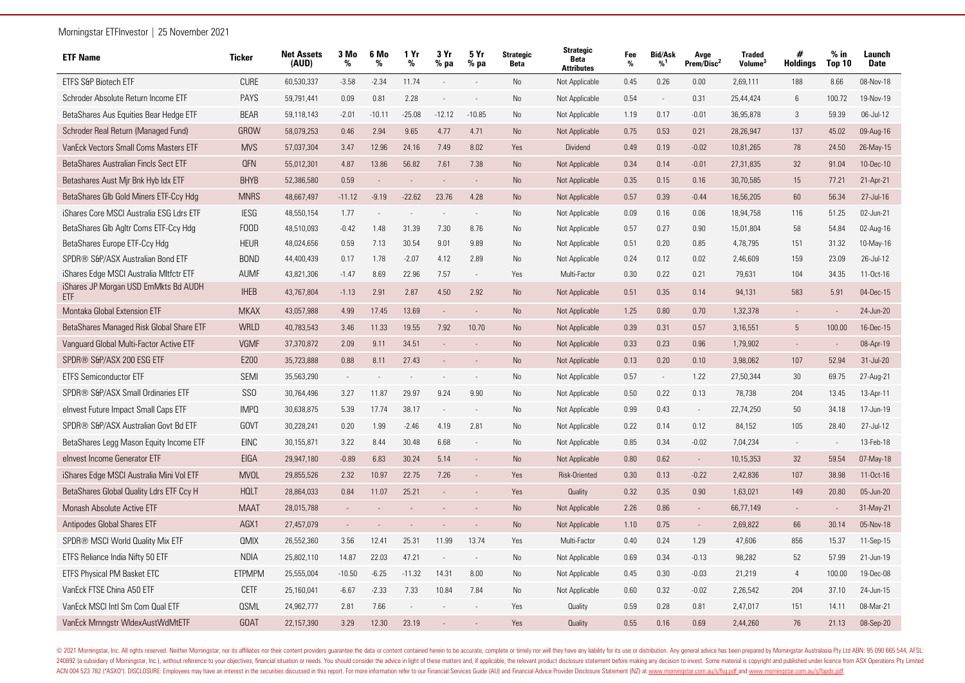| <b>ETF Name</b>                             | <b>Ticker</b>   | <b>Net Assets</b><br>(AUD) | 3 Mo<br>% | 6 Mo<br>% | 1 Yr<br>%                | 3 Yr<br>$%$ pa           | 5 Yr<br>% pa             | <b>Strategic</b><br><b>Beta</b> | <b>Strategic</b><br><b>Beta</b><br><b>Attributes</b> | Fee<br>% | <b>Bid/Ask</b><br>%1     | Avge<br>Prem/Disc <sup>2</sup> | <b>Traded</b><br>Volume <sup>3</sup> | #<br><b>Holdings</b>     | % in<br><b>Top 10</b> | Launch<br><b>Date</b> |
|---------------------------------------------|-----------------|----------------------------|-----------|-----------|--------------------------|--------------------------|--------------------------|---------------------------------|------------------------------------------------------|----------|--------------------------|--------------------------------|--------------------------------------|--------------------------|-----------------------|-----------------------|
| ETFS S&P Biotech ETF                        | <b>CURE</b>     | 60,530,337                 | $-3.58$   | $-2.34$   | 11.74                    | $\overline{\phantom{a}}$ |                          | No                              | Not Applicable                                       | 0.45     | 0.26                     | 0.00                           | 2,69,111                             | 188                      | 8.66                  | 08-Nov-18             |
| Schroder Absolute Return Income ETF         | <b>PAYS</b>     | 59,791,441                 | 0.09      | 0.81      | 2.28                     | $\overline{\phantom{a}}$ | $\overline{\phantom{a}}$ | No                              | Not Applicable                                       | 0.54     | $\overline{\phantom{a}}$ | 0.31                           | 25,44,424                            | $6\phantom{1}6$          | 100.72                | 19-Nov-19             |
| BetaShares Aus Equities Bear Hedge ETF      | <b>BEAR</b>     | 59,118,143                 | $-2.01$   | $-10.11$  | $-25.08$                 | $-12.12$                 | $-10.85$                 | <b>No</b>                       | Not Applicable                                       | 1.19     | 0.17                     | $-0.01$                        | 36,95,878                            | 3                        | 59.39                 | 06-Jul-12             |
| Schroder Real Return (Managed Fund)         | <b>GROW</b>     | 58,079,253                 | 0.46      | 2.94      | 9.65                     | 4.77                     | 4.71                     | No                              | Not Applicable                                       | 0.75     | 0.53                     | 0.21                           | 28,26,947                            | 137                      | 45.02                 | 09-Aug-16             |
| VanEck Vectors Small Coms Masters ETF       | <b>MVS</b>      | 57,037,304                 | 3.47      | 12.96     | 24.16                    | 7.49                     | 8.02                     | Yes                             | Dividend                                             | 0.49     | 0.19                     | $-0.02$                        | 10,81,265                            | 78                       | 24.50                 | 26-May-15             |
| BetaShares Australian Fincls Sect ETF       | <b>QFN</b>      | 55,012,301                 | 4.87      | 13.86     | 56.82                    | 7.61                     | 7.38                     | No                              | Not Applicable                                       | 0.34     | 0.14                     | $-0.01$                        | 27,31,835                            | 32                       | 91.04                 | 10-Dec-10             |
| Betashares Aust Mir Bnk Hyb Idx ETF         | <b>BHYB</b>     | 52,386,580                 | 0.59      |           | $\sim$                   | $\overline{\phantom{a}}$ |                          | <b>No</b>                       | Not Applicable                                       | 0.35     | 0.15                     | 0.16                           | 30,70,585                            | 15                       | 77.21                 | 21-Apr-21             |
| BetaShares Glb Gold Miners ETF-Ccy Hdg      | <b>MNRS</b>     | 48,667,497                 | $-11.12$  | $-9.19$   | $-22.62$                 | 23.76                    | 4.28                     | No                              | Not Applicable                                       | 0.57     | 0.39                     | $-0.44$                        | 16,56,205                            | 60                       | 56.34                 | 27-Jul-16             |
| iShares Core MSCI Australia ESG Ldrs ETF    | <b>IESG</b>     | 48,550,154                 | 1.77      |           | $\overline{\phantom{a}}$ |                          | $\overline{\phantom{a}}$ | No                              | Not Applicable                                       | 0.09     | 0.16                     | 0.06                           | 18,94,758                            | 116                      | 51.25                 | 02-Jun-21             |
| BetaShares Glb Agltr Coms ETF-Ccy Hdg       | <b>FOOD</b>     | 48,510,093                 | $-0.42$   | 1.48      | 31.39                    | 7.30                     | 8.76                     | <b>No</b>                       | Not Applicable                                       | 0.57     | 0.27                     | 0.90                           | 15,01,804                            | 58                       | 54.84                 | 02-Aug-16             |
| BetaShares Europe ETF-Ccy Hdg               | <b>HEUR</b>     | 48,024,656                 | 0.59      | 7.13      | 30.54                    | 9.01                     | 9.89                     | No                              | Not Applicable                                       | 0.51     | 0.20                     | 0.85                           | 4,78,795                             | 151                      | 31.32                 | 10-May-16             |
| SPDR® S&P/ASX Australian Bond ETF           | <b>BOND</b>     | 44,400,439                 | 0.17      | 1.78      | $-2.07$                  | 4.12                     | 2.89                     | No                              | Not Applicable                                       | 0.24     | 0.12                     | 0.02                           | 2,46,609                             | 159                      | 23.09                 | 26-Jul-12             |
| iShares Edge MSCI Australia Mitfctr ETF     | <b>AUMF</b>     | 43,821,306                 | $-1.47$   | 8.69      | 22.96                    | 7.57                     | $\sim$                   | Yes                             | Multi-Factor                                         | 0.30     | 0.22                     | 0.21                           | 79.631                               | 104                      | 34.35                 | $11 - Oct - 16$       |
| iShares JP Morgan USD EmMkts Bd AUDH<br>ETF | <b>IHEB</b>     | 43,767,804                 | $-1.13$   | 2.91      | 2.87                     | 4.50                     | 2.92                     | No                              | Not Applicable                                       | 0.51     | 0.35                     | 0.14                           | 94,131                               | 583                      | 5.91                  | 04-Dec-15             |
| Montaka Global Extension ETF                | <b>MKAX</b>     | 43,057,988                 | 4.99      | 17.45     | 13.69                    | $\overline{a}$           |                          | No                              | Not Applicable                                       | 1.25     | 0.80                     | 0.70                           | 1,32,378                             |                          |                       | 24-Jun-20             |
| BetaShares Managed Risk Global Share ETF    | WRLD            | 40,783,543                 | 3.46      | 11.33     | 19.55                    | 7.92                     | 10.70                    | <b>No</b>                       | Not Applicable                                       | 0.39     | 0.31                     | 0.57                           | 3,16,551                             | 5                        | 100.00                | 16-Dec-15             |
| Vanguard Global Multi-Factor Active ETF     | <b>VGMF</b>     | 37,370,872                 | 2.09      | 9.11      | 34.51                    | $\overline{a}$           |                          | <b>No</b>                       | Not Applicable                                       | 0.33     | 0.23                     | 0.96                           | 1,79,902                             |                          |                       | 08-Apr-19             |
| SPDR® S&P/ASX 200 ESG ETF                   | E200            | 35,723,888                 | 0.88      | 8.11      | 27.43                    |                          |                          | <b>No</b>                       | Not Applicable                                       | 0.13     | 0.20                     | 0.10                           | 3,98,062                             | 107                      | 52.94                 | 31-Jul-20             |
| <b>ETFS Semiconductor ETF</b>               | <b>SEMI</b>     | 35,563,290                 |           |           |                          |                          |                          | No                              | Not Applicable                                       | 0.57     | $\overline{\phantom{a}}$ | 1.22                           | 27,50,344                            | 30                       | 69.75                 | 27-Aug-21             |
| SPDR® S&P/ASX Small Ordinaries ETF          | SS <sub>0</sub> | 30,764,496                 | 3.27      | 11.87     | 29.97                    | 9.24                     | 9.90                     | No                              | Not Applicable                                       | 0.50     | 0.22                     | 0.13                           | 78,738                               | 204                      | 13.45                 | 13-Apr-11             |
| elnvest Future Impact Small Caps ETF        | <b>IMPO</b>     | 30,638,875                 | 5.39      | 17.74     | 38.17                    | $\overline{\phantom{a}}$ | $\overline{\phantom{a}}$ | No                              | Not Applicable                                       | 0.99     | 0.43                     | $\sim$                         | 22,74,250                            | 50                       | 34.18                 | 17-Jun-19             |
| SPDR® S&P/ASX Australian Govt Bd ETF        | <b>GOVT</b>     | 30,228,241                 | 0.20      | 1.99      | $-2.46$                  | 4.19                     | 2.81                     | No                              | Not Applicable                                       | 0.22     | 0.14                     | 0.12                           | 84,152                               | 105                      | 28.40                 | 27-Jul-12             |
| BetaShares Legg Mason Equity Income ETF     | <b>EINC</b>     | 30,155,871                 | 3.22      | 8.44      | 30.48                    | 6.68                     | $\sim$                   | No                              | Not Applicable                                       | 0.85     | 0.34                     | $-0.02$                        | 7,04,234                             | $\overline{\phantom{a}}$ | $\sim$                | 13-Feb-18             |
| elnvest Income Generator ETF                | <b>EIGA</b>     | 29,947,180                 | $-0.89$   | 6.83      | 30.24                    | 5.14                     | $\sim$                   | <b>No</b>                       | Not Applicable                                       | 0.80     | 0.62                     | $\sim$                         | 10,15,353                            | 32                       | 59.54                 | 07-May-18             |
| iShares Edge MSCI Australia Mini Vol ETF    | <b>MVOL</b>     | 29,855,526                 | 2.32      | 10.97     | 22.75                    | 7.26                     | $\sim$                   | Yes                             | Risk-Oriented                                        | 0.30     | 0.13                     | $-0.22$                        | 2,42,836                             | 107                      | 38.98                 | 11-Oct-16             |
| BetaShares Global Quality Ldrs ETF Ccy H    | <b>HOLT</b>     | 28,864,033                 | 0.84      | 11.07     | 25.21                    |                          |                          | Yes                             | Quality                                              | 0.32     | 0.35                     | 0.90                           | 1,63,021                             | 149                      | 20.80                 | 05-Jun-20             |
| Monash Absolute Active ETF                  | <b>MAAT</b>     | 28,015,788                 |           |           |                          |                          |                          | <b>No</b>                       | Not Applicable                                       | 2.26     | 0.86                     | $\mathcal{L}_{\mathcal{A}}$    | 66,77,149                            | $\overline{\phantom{a}}$ | $\sim$                | 31-May-21             |
| Antipodes Global Shares ETF                 | AGX1            | 27,457,079                 | $\sim$    |           |                          |                          |                          | <b>No</b>                       | Not Applicable                                       | 1.10     | 0.75                     | $\sim$                         | 2,69,822                             | 66                       | 30.14                 | 05-Nov-18             |
| SPDR® MSCI World Quality Mix ETF            | <b>QMIX</b>     | 26,552,360                 | 3.56      | 12.41     | 25.31                    | 11.99                    | 13.74                    | Yes                             | Multi-Factor                                         | 0.40     | 0.24                     | 1.29                           | 47,606                               | 856                      | 15.37                 | 11-Sep-15             |
| ETFS Reliance India Nifty 50 ETF            | <b>NDIA</b>     | 25,802,110                 | 14.87     | 22.03     | 47.21                    | $\overline{\phantom{a}}$ | $\overline{\phantom{a}}$ | No                              | Not Applicable                                       | 0.69     | 0.34                     | $-0.13$                        | 98,282                               | 52                       | 57.99                 | 21-Jun-19             |
| ETFS Physical PM Basket ETC                 | <b>ETPMPM</b>   | 25,555,004                 | $-10.50$  | $-6.25$   | $-11.32$                 | 14.31                    | 8.00                     | No                              | Not Applicable                                       | 0.45     | 0.30                     | $-0.03$                        | 21,219                               | $\overline{4}$           | 100.00                | 19-Dec-08             |
| VanEck FTSE China A50 ETF                   | <b>CETF</b>     | 25,160,041                 | $-6.67$   | $-2.33$   | 7.33                     | 10.84                    | 7.84                     | No                              | Not Applicable                                       | 0.60     | 0.32                     | $-0.02$                        | 2,26,542                             | 204                      | 37.10                 | 24-Jun-15             |
| VanEck MSCI Intl Sm Com Qual ETF            | <b>OSML</b>     | 24,962,777                 | 2.81      | 7.66      |                          |                          |                          | Yes                             | Quality                                              | 0.59     | 0.28                     | 0.81                           | 2,47,017                             | 151                      | 14.11                 | 08-Mar-21             |
| VanEck Mrnngstr WldexAustWdMtETF            | <b>GOAT</b>     | 22,157,390                 | 3.29      | 12.30     | 23.19                    |                          |                          | Yes                             | Quality                                              | 0.55     | 0.16                     | 0.69                           | 2,44,260                             | 76                       | 21.13                 | 08-Sep-20             |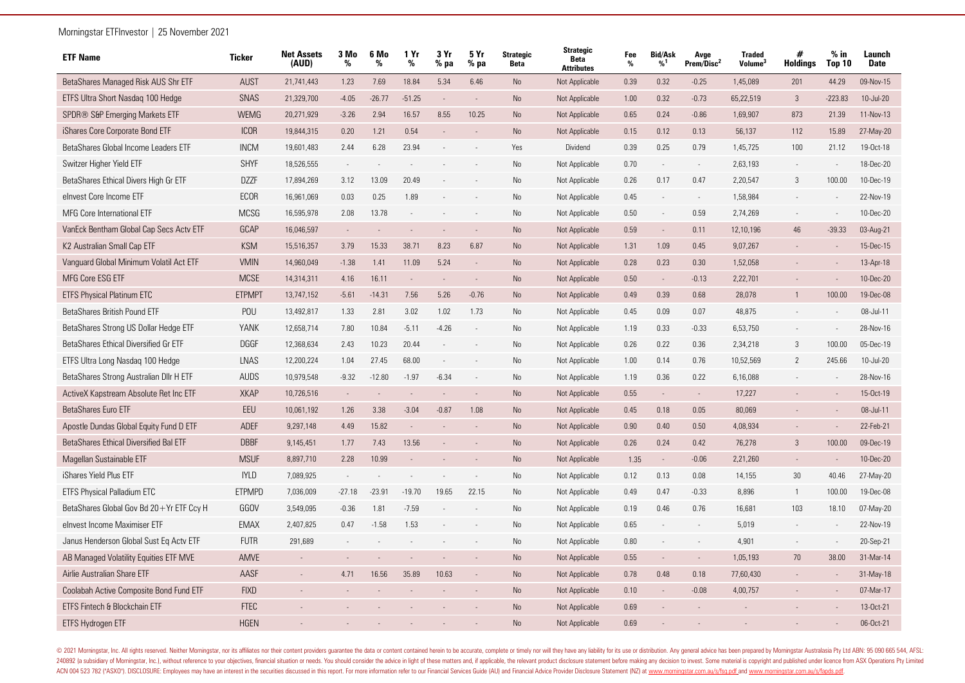| <b>ETF Name</b>                          | <b>Ticker</b> | <b>Net Assets</b><br>(AUD) | 3 Mo<br>% | 6 Mo<br>% | 1 Yr<br>%      | 3 Yr<br>$%$ pa           | 5 Yr<br>$%$ pa | <b>Strategic</b><br><b>Beta</b> | <b>Strategic</b><br><b>Beta</b><br><b>Attributes</b> | Fee<br>% | <b>Bid/Ask</b><br>%1 | Avge<br>Prem/Disc <sup>2</sup> | <b>Traded</b><br><b>Volume</b> | #<br><b>Holdings</b> | $%$ in<br><b>Top 10</b> | Launch<br><b>Date</b> |
|------------------------------------------|---------------|----------------------------|-----------|-----------|----------------|--------------------------|----------------|---------------------------------|------------------------------------------------------|----------|----------------------|--------------------------------|--------------------------------|----------------------|-------------------------|-----------------------|
| BetaShares Managed Risk AUS Shr ETF      | <b>AUST</b>   | 21,741,443                 | 1.23      | 7.69      | 18.84          | 5.34                     | 6.46           | No                              | Not Applicable                                       | 0.39     | 0.32                 | $-0.25$                        | 1,45,089                       | 201                  | 44.29                   | 09-Nov-15             |
| ETFS Ultra Short Nasdag 100 Hedge        | SNAS          | 21,329,700                 | $-4.05$   | $-26.77$  | $-51.25$       | $\overline{\phantom{a}}$ | $\sim$         | No                              | Not Applicable                                       | 1.00     | 0.32                 | $-0.73$                        | 65,22,519                      | $\mathbf{3}$         | $-223.83$               | 10-Jul-20             |
| SPDR® S&P Emerging Markets ETF           | <b>WEMG</b>   | 20,271,929                 | $-3.26$   | 2.94      | 16.57          | 8.55                     | 10.25          | No                              | Not Applicable                                       | 0.65     | 0.24                 | $-0.86$                        | 1,69,907                       | 873                  | 21.39                   | 11-Nov-13             |
| iShares Core Corporate Bond ETF          | <b>ICOR</b>   | 19,844,315                 | 0.20      | 1.21      | 0.54           |                          |                | <b>No</b>                       | Not Applicable                                       | 0.15     | 0.12                 | 0.13                           | 56,137                         | 112                  | 15.89                   | 27-May-20             |
| BetaShares Global Income Leaders ETF     | <b>INCM</b>   | 19,601,483                 | 2.44      | 6.28      | 23.94          |                          |                | Yes                             | Dividend                                             | 0.39     | 0.25                 | 0.79                           | 1,45,725                       | 100                  | 21.12                   | 19-Oct-18             |
| Switzer Higher Yield ETF                 | <b>SHYF</b>   | 18,526,555                 |           |           |                |                          |                | No                              | Not Applicable                                       | 0.70     |                      | $\overline{\phantom{a}}$       | 2,63,193                       |                      |                         | 18-Dec-20             |
| BetaShares Ethical Divers High Gr ETF    | <b>DZZF</b>   | 17,894,269                 | 3.12      | 13.09     | 20.49          |                          |                | No                              | Not Applicable                                       | 0.26     | 0.17                 | 0.47                           | 2,20,547                       | 3                    | 100.00                  | 10-Dec-19             |
| elnvest Core Income ETF                  | ECOR          | 16,961,069                 | 0.03      | 0.25      | 1.89           |                          |                | No                              | Not Applicable                                       | 0.45     |                      | $\overline{\phantom{a}}$       | 1,58,984                       |                      |                         | 22-Nov-19             |
| MFG Core International ETF               | <b>MCSG</b>   | 16,595,978                 | 2.08      | 13.78     | $\sim$         |                          |                | No                              | Not Applicable                                       | 0.50     |                      | 0.59                           | 2,74,269                       |                      | $\sim$                  | 10-Dec-20             |
| VanEck Bentham Global Cap Secs Actv ETF  | GCAP          | 16,046,597                 |           |           |                |                          |                | <b>No</b>                       | Not Applicable                                       | 0.59     |                      | 0.11                           | 12,10,196                      | 46                   | $-39.33$                | 03-Aug-21             |
| K2 Australian Small Cap ETF              | <b>KSM</b>    | 15,516,357                 | 3.79      | 15.33     | 38.71          | 8.23                     | 6.87           | No                              | Not Applicable                                       | 1.31     | 1.09                 | 0.45                           | 9,07,267                       |                      |                         | 15-Dec-15             |
| Vanguard Global Minimum Volatil Act ETF  | <b>VMIN</b>   | 14,960,049                 | $-1.38$   | 1.41      | 11.09          | 5.24                     | $\sim$         | <b>No</b>                       | Not Applicable                                       | 0.28     | 0.23                 | 0.30                           | 1,52,058                       |                      |                         | 13-Apr-18             |
| MFG Core ESG ETF                         | <b>MCSE</b>   | 14,314,311                 | 4.16      | 16.11     | $\overline{a}$ | $\sim$                   |                | <b>No</b>                       | Not Applicable                                       | 0.50     | $\sim$               | $-0.13$                        | 2,22,701                       |                      | $\sim$                  | 10-Dec-20             |
| ETFS Physical Platinum ETC               | <b>ETPMPT</b> | 13,747,152                 | $-5.61$   | $-14.31$  | 7.56           | 5.26                     | $-0.76$        | No                              | Not Applicable                                       | 0.49     | 0.39                 | 0.68                           | 28,078                         |                      | 100.00                  | 19-Dec-08             |
| BetaShares British Pound ETF             | POU           | 13,492,817                 | 1.33      | 2.81      | 3.02           | 1.02                     | 1.73           | No                              | Not Applicable                                       | 0.45     | 0.09                 | 0.07                           | 48,875                         |                      |                         | 08-Jul-11             |
| BetaShares Strong US Dollar Hedge ETF    | YANK          | 12,658,714                 | 7.80      | 10.84     | $-5.11$        | $-4.26$                  |                | No                              | Not Applicable                                       | 1.19     | 0.33                 | $-0.33$                        | 6,53,750                       |                      |                         | 28-Nov-16             |
| BetaShares Ethical Diversified Gr ETF    | <b>DGGF</b>   | 12,368,634                 | 2.43      | 10.23     | 20.44          |                          |                | No                              | Not Applicable                                       | 0.26     | 0.22                 | 0.36                           | 2,34,218                       | 3                    | 100.00                  | 05-Dec-19             |
| ETFS Ultra Long Nasdaq 100 Hedge         | <b>LNAS</b>   | 12,200,224                 | 1.04      | 27.45     | 68.00          | $\overline{a}$           |                | No                              | Not Applicable                                       | 1.00     | 0.14                 | 0.76                           | 10,52,569                      | $\overline{2}$       | 245.66                  | 10-Jul-20             |
| BetaShares Strong Australian Dllr H ETF  | <b>AUDS</b>   | 10,979,548                 | $-9.32$   | $-12.80$  | $-1.97$        | $-6.34$                  |                | No                              | Not Applicable                                       | 1.19     | 0.36                 | 0.22                           | 6,16,088                       |                      |                         | 28-Nov-16             |
| ActiveX Kapstream Absolute Ret Inc ETF   | <b>XKAP</b>   | 10,726,516                 |           |           |                |                          |                | <b>No</b>                       | Not Applicable                                       | 0.55     |                      | $\sim$                         | 17.227                         |                      |                         | 15-Oct-19             |
| <b>BetaShares Euro ETF</b>               | EEU           | 10,061,192                 | 1.26      | 3.38      | $-3.04$        | $-0.87$                  | 1.08           | No                              | Not Applicable                                       | 0.45     | 0.18                 | 0.05                           | 80,069                         |                      |                         | 08-Jul-11             |
| Apostle Dundas Global Equity Fund D ETF  | <b>ADEF</b>   | 9,297,148                  | 4.49      | 15.82     | $\mathcal{L}$  |                          |                | <b>No</b>                       | Not Applicable                                       | 0.90     | 0.40                 | 0.50                           | 4,08,934                       |                      |                         | 22-Feb-21             |
| BetaShares Ethical Diversified Bal ETF   | <b>DBBF</b>   | 9,145,451                  | 1.77      | 7.43      | 13.56          |                          |                | No                              | Not Applicable                                       | 0.26     | 0.24                 | 0.42                           | 76,278                         | 3                    | 100.00                  | 09-Dec-19             |
| Magellan Sustainable ETF                 | <b>MSUF</b>   | 8,897,710                  | 2.28      | 10.99     | $\sim$         |                          |                | <b>No</b>                       | Not Applicable                                       | 1.35     | $\sim$               | $-0.06$                        | 2,21,260                       | $\sim$               | $\sim$                  | 10-Dec-20             |
| iShares Yield Plus ETF                   | <b>IYLD</b>   | 7,089,925                  |           |           |                |                          |                | No                              | Not Applicable                                       | 0.12     | 0.13                 | 0.08                           | 14,155                         | 30                   | 40.46                   | 27-May-20             |
| ETFS Physical Palladium ETC              | <b>ETPMPD</b> | 7,036,009                  | $-27.18$  | $-23.91$  | $-19.70$       | 19.65                    | 22.15          | No                              | Not Applicable                                       | 0.49     | 0.47                 | $-0.33$                        | 8.896                          | $\mathbf{1}$         | 100.00                  | 19-Dec-08             |
| BetaShares Global Gov Bd 20+Yr ETF Ccy H | GGOV          | 3,549,095                  | $-0.36$   | 1.81      | $-7.59$        |                          |                | No                              | Not Applicable                                       | 0.19     | 0.46                 | 0.76                           | 16,681                         | 103                  | 18.10                   | 07-May-20             |
| elnvest Income Maximiser ETF             | <b>EMAX</b>   | 2,407,825                  | 0.47      | $-1.58$   | 1.53           |                          |                | No                              | Not Applicable                                       | 0.65     |                      | $\sim$                         | 5.019                          |                      | $\sim$                  | 22-Nov-19             |
| Janus Henderson Global Sust Eq Actv ETF  | <b>FUTR</b>   | 291,689                    |           |           |                |                          |                | No                              | Not Applicable                                       | 0.80     |                      |                                | 4,901                          |                      |                         | 20-Sep-21             |
| AB Managed Volatility Equities ETF MVE   | AMVE          |                            |           |           |                |                          |                | No                              | Not Applicable                                       | 0.55     |                      | $\sim$                         | 1,05,193                       | 70                   | 38.00                   | 31-Mar-14             |
| Airlie Australian Share ETF              | AASF          |                            | 4.71      | 16.56     | 35.89          | 10.63                    |                | No                              | Not Applicable                                       | 0.78     | 0.48                 | 0.18                           | 77,60,430                      |                      |                         | 31-May-18             |
| Coolabah Active Composite Bond Fund ETF  | <b>FIXD</b>   |                            |           |           |                |                          |                | No                              | Not Applicable                                       | 0.10     |                      | $-0.08$                        | 4,00,757                       |                      |                         | 07-Mar-17             |
| ETFS Fintech & Blockchain ETF            | <b>FTEC</b>   |                            |           |           |                |                          |                | <b>No</b>                       | Not Applicable                                       | 0.69     |                      |                                |                                |                      |                         | 13-Oct-21             |
| ETFS Hydrogen ETF                        | <b>HGEN</b>   |                            |           |           |                |                          |                | <b>No</b>                       | Not Applicable                                       | 0.69     |                      |                                |                                |                      |                         | 06-Oct-21             |